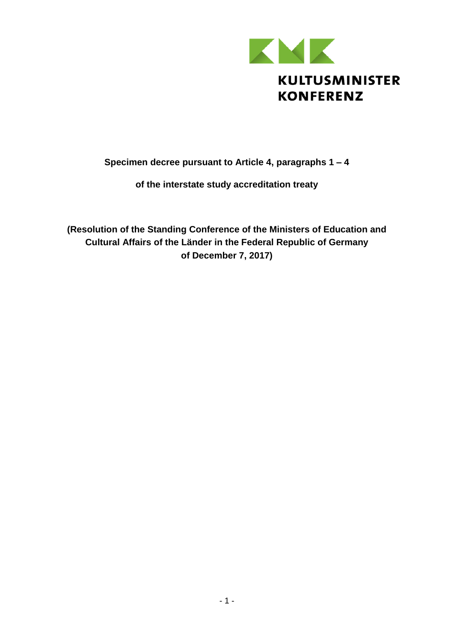

## **Specimen decree pursuant to Article 4, paragraphs 1 – 4**

#### **of the interstate study accreditation treaty**

**(Resolution of the Standing Conference of the Ministers of Education and Cultural Affairs of the Länder in the Federal Republic of Germany of December 7, 2017)**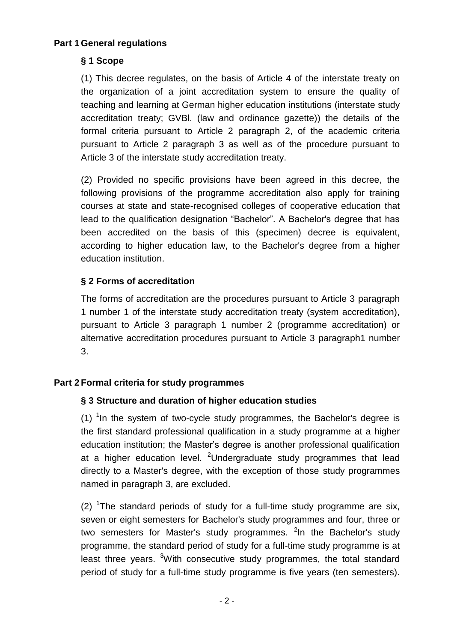#### **Part 1 General regulations**

## **§ 1 Scope**

(1) This decree regulates, on the basis of Article 4 of the interstate treaty on the organization of a joint accreditation system to ensure the quality of teaching and learning at German higher education institutions (interstate study accreditation treaty; GVBl. (law and ordinance gazette)) the details of the formal criteria pursuant to Article 2 paragraph 2, of the academic criteria pursuant to Article 2 paragraph 3 as well as of the procedure pursuant to Article 3 of the interstate study accreditation treaty.

(2) Provided no specific provisions have been agreed in this decree, the following provisions of the programme accreditation also apply for training courses at state and state-recognised colleges of cooperative education that lead to the qualification designation "Bachelor". A Bachelor's degree that has been accredited on the basis of this (specimen) decree is equivalent, according to higher education law, to the Bachelor's degree from a higher education institution.

#### **§ 2 Forms of accreditation**

The forms of accreditation are the procedures pursuant to Article 3 paragraph 1 number 1 of the interstate study accreditation treaty (system accreditation), pursuant to Article 3 paragraph 1 number 2 (programme accreditation) or alternative accreditation procedures pursuant to Article 3 paragraph1 number 3.

## **Part 2 Formal criteria for study programmes**

#### **§ 3 Structure and duration of higher education studies**

(1)  $1$ In the system of two-cycle study programmes, the Bachelor's degree is the first standard professional qualification in a study programme at a higher education institution; the Master's degree is another professional qualification at a higher education level. <sup>2</sup>Undergraduate study programmes that lead directly to a Master's degree, with the exception of those study programmes named in paragraph 3, are excluded.

(2) <sup>1</sup>The standard periods of study for a full-time study programme are six, seven or eight semesters for Bachelor's study programmes and four, three or two semesters for Master's study programmes. <sup>2</sup>In the Bachelor's study programme, the standard period of study for a full-time study programme is at least three years. <sup>3</sup>With consecutive study programmes, the total standard period of study for a full-time study programme is five years (ten semesters).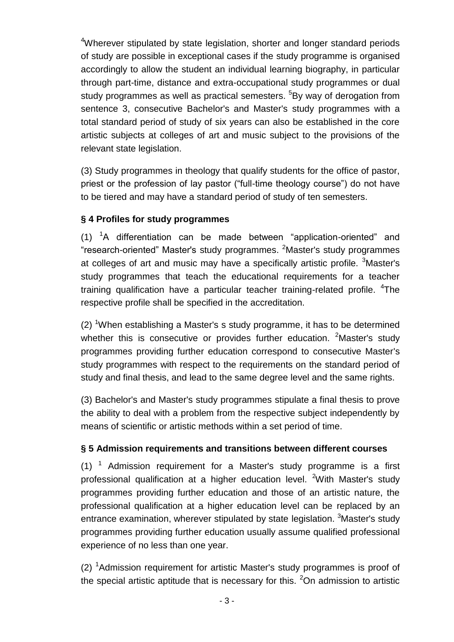<sup>4</sup>Wherever stipulated by state legislation, shorter and longer standard periods of study are possible in exceptional cases if the study programme is organised accordingly to allow the student an individual learning biography, in particular through part-time, distance and extra-occupational study programmes or dual study programmes as well as practical semesters. <sup>5</sup>By way of derogation from sentence 3, consecutive Bachelor's and Master's study programmes with a total standard period of study of six years can also be established in the core artistic subjects at colleges of art and music subject to the provisions of the relevant state legislation.

(3) Study programmes in theology that qualify students for the office of pastor, priest or the profession of lay pastor ("full-time theology course") do not have to be tiered and may have a standard period of study of ten semesters.

#### **§ 4 Profiles for study programmes**

 $(1)$  <sup>1</sup>A differentiation can be made between "application-oriented" and "research-oriented" Master's study programmes. <sup>2</sup>Master's study programmes at colleges of art and music may have a specifically artistic profile.  $3$ Master's study programmes that teach the educational requirements for a teacher training qualification have a particular teacher training-related profile. <sup>4</sup>The respective profile shall be specified in the accreditation.

(2) <sup>1</sup>When establishing a Master's s study programme, it has to be determined whether this is consecutive or provides further education. <sup>2</sup>Master's study programmes providing further education correspond to consecutive Master's study programmes with respect to the requirements on the standard period of study and final thesis, and lead to the same degree level and the same rights.

(3) Bachelor's and Master's study programmes stipulate a final thesis to prove the ability to deal with a problem from the respective subject independently by means of scientific or artistic methods within a set period of time.

#### **§ 5 Admission requirements and transitions between different courses**

 $(1)$  <sup>1</sup> Admission requirement for a Master's study programme is a first professional qualification at a higher education level. <sup>2</sup>With Master's study programmes providing further education and those of an artistic nature, the professional qualification at a higher education level can be replaced by an entrance examination, wherever stipulated by state legislation. <sup>3</sup>Master's study programmes providing further education usually assume qualified professional experience of no less than one year.

(2)  $<sup>1</sup>$ Admission requirement for artistic Master's study programmes is proof of</sup> the special artistic aptitude that is necessary for this.  $2$ On admission to artistic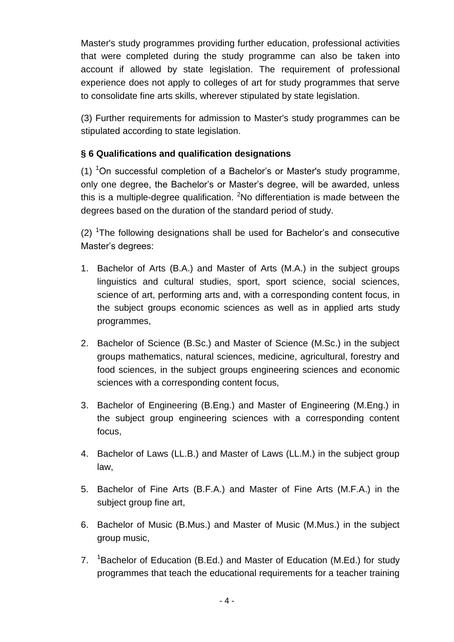Master's study programmes providing further education, professional activities that were completed during the study programme can also be taken into account if allowed by state legislation. The requirement of professional experience does not apply to colleges of art for study programmes that serve to consolidate fine arts skills, wherever stipulated by state legislation.

(3) Further requirements for admission to Master's study programmes can be stipulated according to state legislation.

## **§ 6 Qualifications and qualification designations**

(1)  $10^{-1}$ On successful completion of a Bachelor's or Master's study programme, only one degree, the Bachelor's or Master's degree, will be awarded, unless this is a multiple-degree qualification. <sup>2</sup>No differentiation is made between the degrees based on the duration of the standard period of study.

(2) <sup>1</sup>The following designations shall be used for Bachelor's and consecutive Master's degrees:

- 1. Bachelor of Arts (B.A.) and Master of Arts (M.A.) in the subject groups linguistics and cultural studies, sport, sport science, social sciences, science of art, performing arts and, with a corresponding content focus, in the subject groups economic sciences as well as in applied arts study programmes,
- 2. Bachelor of Science (B.Sc.) and Master of Science (M.Sc.) in the subject groups mathematics, natural sciences, medicine, agricultural, forestry and food sciences, in the subject groups engineering sciences and economic sciences with a corresponding content focus,
- 3. Bachelor of Engineering (B.Eng.) and Master of Engineering (M.Eng.) in the subject group engineering sciences with a corresponding content focus,
- 4. Bachelor of Laws (LL.B.) and Master of Laws (LL.M.) in the subject group law,
- 5. Bachelor of Fine Arts (B.F.A.) and Master of Fine Arts (M.F.A.) in the subject group fine art,
- 6. Bachelor of Music (B.Mus.) and Master of Music (M.Mus.) in the subject group music,
- 7. <sup>1</sup>Bachelor of Education (B.Ed.) and Master of Education (M.Ed.) for study programmes that teach the educational requirements for a teacher training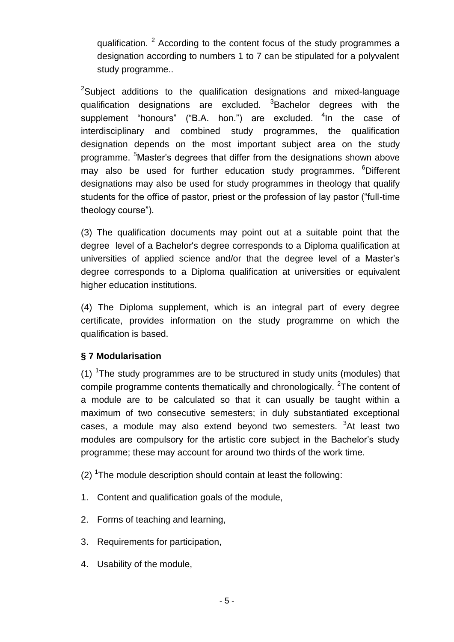qualification.  $2$  According to the content focus of the study programmes a designation according to numbers 1 to 7 can be stipulated for a polyvalent study programme..

<sup>2</sup>Subject additions to the qualification designations and mixed-language qualification designations are excluded. <sup>3</sup>Bachelor degrees with the supplement "honours" ("B.A. hon.") are excluded. <sup>4</sup>In the case of interdisciplinary and combined study programmes, the qualification designation depends on the most important subject area on the study programme. <sup>5</sup>Master's degrees that differ from the designations shown above may also be used for further education study programmes. <sup>6</sup>Different designations may also be used for study programmes in theology that qualify students for the office of pastor, priest or the profession of lay pastor ("full-time theology course").

(3) The qualification documents may point out at a suitable point that the degree level of a Bachelor's degree corresponds to a Diploma qualification at universities of applied science and/or that the degree level of a Master's degree corresponds to a Diploma qualification at universities or equivalent higher education institutions.

(4) The Diploma supplement, which is an integral part of every degree certificate, provides information on the study programme on which the qualification is based.

## **§ 7 Modularisation**

(1)  $<sup>1</sup>$ The study programmes are to be structured in study units (modules) that</sup> compile programme contents thematically and chronologically. <sup>2</sup>The content of a module are to be calculated so that it can usually be taught within a maximum of two consecutive semesters; in duly substantiated exceptional cases, a module may also extend beyond two semesters. <sup>3</sup>At least two modules are compulsory for the artistic core subject in the Bachelor's study programme; these may account for around two thirds of the work time.

 $(2)$  <sup>1</sup>The module description should contain at least the following:

- 1. Content and qualification goals of the module,
- 2. Forms of teaching and learning,
- 3. Requirements for participation,
- 4. Usability of the module,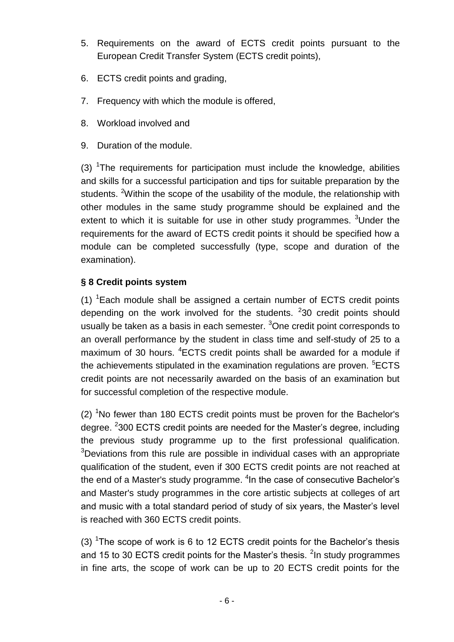- 5. Requirements on the award of ECTS credit points pursuant to the European Credit Transfer System (ECTS credit points),
- 6. ECTS credit points and grading,
- 7. Frequency with which the module is offered,
- 8. Workload involved and
- 9. Duration of the module.

(3)  $<sup>1</sup>$ The requirements for participation must include the knowledge, abilities</sup> and skills for a successful participation and tips for suitable preparation by the students. <sup>2</sup>Within the scope of the usability of the module, the relationship with other modules in the same study programme should be explained and the extent to which it is suitable for use in other study programmes. <sup>3</sup>Under the requirements for the award of ECTS credit points it should be specified how a module can be completed successfully (type, scope and duration of the examination).

## **§ 8 Credit points system**

(1)  ${}^{1}$ Each module shall be assigned a certain number of ECTS credit points depending on the work involved for the students.  $230$  credit points should usually be taken as a basis in each semester.  $3$ One credit point corresponds to an overall performance by the student in class time and self-study of 25 to a maximum of 30 hours. <sup>4</sup>ECTS credit points shall be awarded for a module if the achievements stipulated in the examination regulations are proven. <sup>5</sup>ECTS credit points are not necessarily awarded on the basis of an examination but for successful completion of the respective module.

(2)  $1$ No fewer than 180 ECTS credit points must be proven for the Bachelor's degree. <sup>2</sup>300 ECTS credit points are needed for the Master's degree, including the previous study programme up to the first professional qualification. <sup>3</sup>Deviations from this rule are possible in individual cases with an appropriate qualification of the student, even if 300 ECTS credit points are not reached at the end of a Master's study programme. <sup>4</sup>In the case of consecutive Bachelor's and Master's study programmes in the core artistic subjects at colleges of art and music with a total standard period of study of six years, the Master's level is reached with 360 ECTS credit points.

(3) <sup>1</sup>The scope of work is 6 to 12 ECTS credit points for the Bachelor's thesis and 15 to 30 ECTS credit points for the Master's thesis.  $2$ In study programmes in fine arts, the scope of work can be up to 20 ECTS credit points for the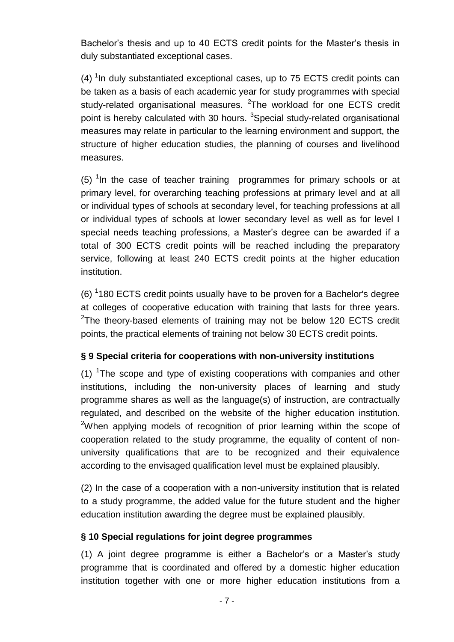Bachelor's thesis and up to 40 ECTS credit points for the Master's thesis in duly substantiated exceptional cases.

 $(4)$ <sup>1</sup> In duly substantiated exceptional cases, up to 75 ECTS credit points can be taken as a basis of each academic year for study programmes with special study-related organisational measures. <sup>2</sup>The workload for one ECTS credit point is hereby calculated with 30 hours. <sup>3</sup>Special study-related organisational measures may relate in particular to the learning environment and support, the structure of higher education studies, the planning of courses and livelihood measures.

 $(5)$  <sup>1</sup> In the case of teacher training programmes for primary schools or at primary level, for overarching teaching professions at primary level and at all or individual types of schools at secondary level, for teaching professions at all or individual types of schools at lower secondary level as well as for level I special needs teaching professions, a Master's degree can be awarded if a total of 300 ECTS credit points will be reached including the preparatory service, following at least 240 ECTS credit points at the higher education institution.

 $(6)$  <sup>1</sup>180 ECTS credit points usually have to be proven for a Bachelor's degree at colleges of cooperative education with training that lasts for three years.  $2$ The theory-based elements of training may not be below 120 ECTS credit points, the practical elements of training not below 30 ECTS credit points.

#### **§ 9 Special criteria for cooperations with non-university institutions**

(1)  $T$ he scope and type of existing cooperations with companies and other institutions, including the non-university places of learning and study programme shares as well as the language(s) of instruction, are contractually regulated, and described on the website of the higher education institution. <sup>2</sup>When applying models of recognition of prior learning within the scope of cooperation related to the study programme, the equality of content of nonuniversity qualifications that are to be recognized and their equivalence according to the envisaged qualification level must be explained plausibly.

(2) In the case of a cooperation with a non-university institution that is related to a study programme, the added value for the future student and the higher education institution awarding the degree must be explained plausibly.

#### **§ 10 Special regulations for joint degree programmes**

(1) A joint degree programme is either a Bachelor's or a Master's study programme that is coordinated and offered by a domestic higher education institution together with one or more higher education institutions from a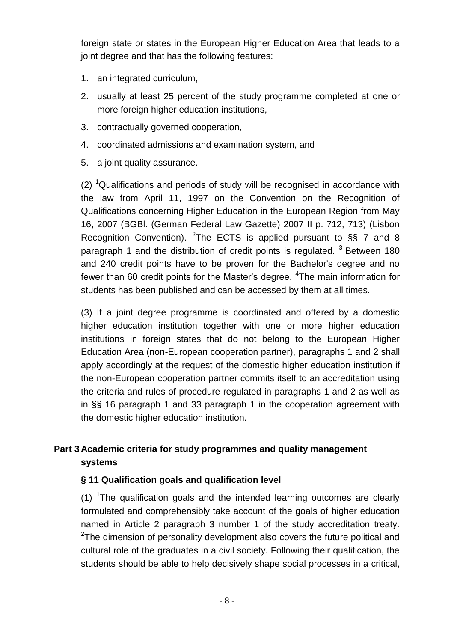foreign state or states in the European Higher Education Area that leads to a joint degree and that has the following features:

- 1. an integrated curriculum,
- 2. usually at least 25 percent of the study programme completed at one or more foreign higher education institutions,
- 3. contractually governed cooperation,
- 4. coordinated admissions and examination system, and
- 5. a joint quality assurance.

(2) <sup>1</sup>Qualifications and periods of study will be recognised in accordance with the law from April 11, 1997 on the Convention on the Recognition of Qualifications concerning Higher Education in the European Region from May 16, 2007 (BGBl. (German Federal Law Gazette) 2007 II p. 712, 713) (Lisbon Recognition Convention). <sup>2</sup>The ECTS is applied pursuant to  $\S$ § 7 and 8 paragraph 1 and the distribution of credit points is regulated.  $3$  Between 180 and 240 credit points have to be proven for the Bachelor's degree and no fewer than 60 credit points for the Master's degree. <sup>4</sup>The main information for students has been published and can be accessed by them at all times.

(3) If a joint degree programme is coordinated and offered by a domestic higher education institution together with one or more higher education institutions in foreign states that do not belong to the European Higher Education Area (non-European cooperation partner), paragraphs 1 and 2 shall apply accordingly at the request of the domestic higher education institution if the non-European cooperation partner commits itself to an accreditation using the criteria and rules of procedure regulated in paragraphs 1 and 2 as well as in §§ 16 paragraph 1 and 33 paragraph 1 in the cooperation agreement with the domestic higher education institution.

## **Part 3 Academic criteria for study programmes and quality management systems**

#### **§ 11 Qualification goals and qualification level**

(1)  $T$ he qualification goals and the intended learning outcomes are clearly formulated and comprehensibly take account of the goals of higher education named in Article 2 paragraph 3 number 1 of the study accreditation treaty.  $2$ The dimension of personality development also covers the future political and cultural role of the graduates in a civil society. Following their qualification, the students should be able to help decisively shape social processes in a critical,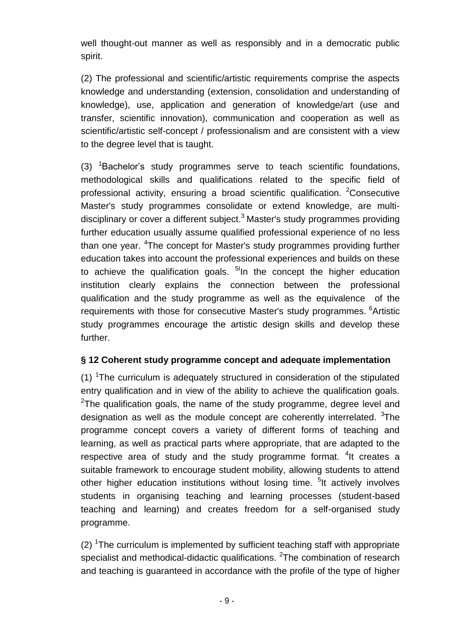well thought-out manner as well as responsibly and in a democratic public spirit.

(2) The professional and scientific/artistic requirements comprise the aspects knowledge and understanding (extension, consolidation and understanding of knowledge), use, application and generation of knowledge/art (use and transfer, scientific innovation), communication and cooperation as well as scientific/artistic self-concept / professionalism and are consistent with a view to the degree level that is taught.

 $(3)$  <sup>1</sup>Bachelor's study programmes serve to teach scientific foundations, methodological skills and qualifications related to the specific field of professional activity, ensuring a broad scientific qualification. <sup>2</sup>Consecutive Master's study programmes consolidate or extend knowledge, are multidisciplinary or cover a different subject.<sup>3</sup> Master's study programmes providing further education usually assume qualified professional experience of no less than one year. <sup>4</sup>The concept for Master's study programmes providing further education takes into account the professional experiences and builds on these to achieve the qualification goals. <sup>51</sup>In the concept the higher education institution clearly explains the connection between the professional qualification and the study programme as well as the equivalence of the requirements with those for consecutive Master's study programmes. <sup>6</sup>Artistic study programmes encourage the artistic design skills and develop these further.

## **§ 12 Coherent study programme concept and adequate implementation**

(1)  $T$ The curriculum is adequately structured in consideration of the stipulated entry qualification and in view of the ability to achieve the qualification goals.  $2$ The qualification goals, the name of the study programme, degree level and designation as well as the module concept are coherently interrelated. <sup>3</sup>The programme concept covers a variety of different forms of teaching and learning, as well as practical parts where appropriate, that are adapted to the respective area of study and the study programme format. <sup>4</sup>It creates a suitable framework to encourage student mobility, allowing students to attend other higher education institutions without losing time. <sup>5</sup>It actively involves students in organising teaching and learning processes (student-based teaching and learning) and creates freedom for a self-organised study programme.

 $(2)$  <sup>1</sup>The curriculum is implemented by sufficient teaching staff with appropriate specialist and methodical-didactic qualifications.  ${}^{2}$ The combination of research and teaching is guaranteed in accordance with the profile of the type of higher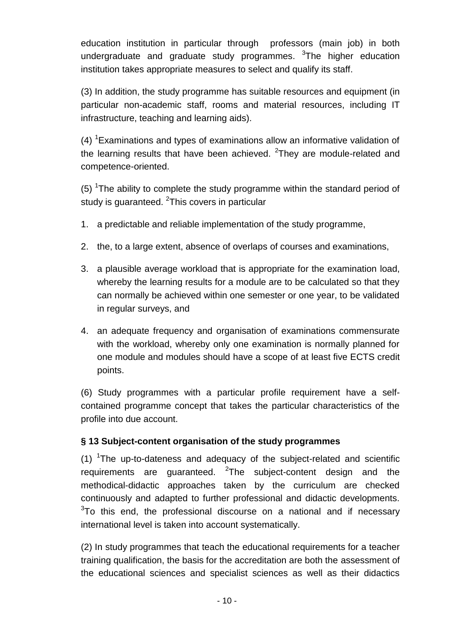education institution in particular through professors (main job) in both undergraduate and graduate study programmes. <sup>3</sup>The higher education institution takes appropriate measures to select and qualify its staff.

(3) In addition, the study programme has suitable resources and equipment (in particular non-academic staff, rooms and material resources, including IT infrastructure, teaching and learning aids).

(4) <sup>1</sup>Examinations and types of examinations allow an informative validation of the learning results that have been achieved.  $2$ They are module-related and competence-oriented.

(5) <sup>1</sup>The ability to complete the study programme within the standard period of study is guaranteed. <sup>2</sup>This covers in particular

- 1. a predictable and reliable implementation of the study programme,
- 2. the, to a large extent, absence of overlaps of courses and examinations,
- 3. a plausible average workload that is appropriate for the examination load, whereby the learning results for a module are to be calculated so that they can normally be achieved within one semester or one year, to be validated in regular surveys, and
- 4. an adequate frequency and organisation of examinations commensurate with the workload, whereby only one examination is normally planned for one module and modules should have a scope of at least five ECTS credit points.

(6) Study programmes with a particular profile requirement have a selfcontained programme concept that takes the particular characteristics of the profile into due account.

## **§ 13 Subject-content organisation of the study programmes**

(1)  $\textsuperscript{1}$  The up-to-dateness and adequacy of the subject-related and scientific requirements are guaranteed.  $2$ The subject-content design and the methodical-didactic approaches taken by the curriculum are checked continuously and adapted to further professional and didactic developments.  $3$ To this end, the professional discourse on a national and if necessary international level is taken into account systematically.

(2) In study programmes that teach the educational requirements for a teacher training qualification, the basis for the accreditation are both the assessment of the educational sciences and specialist sciences as well as their didactics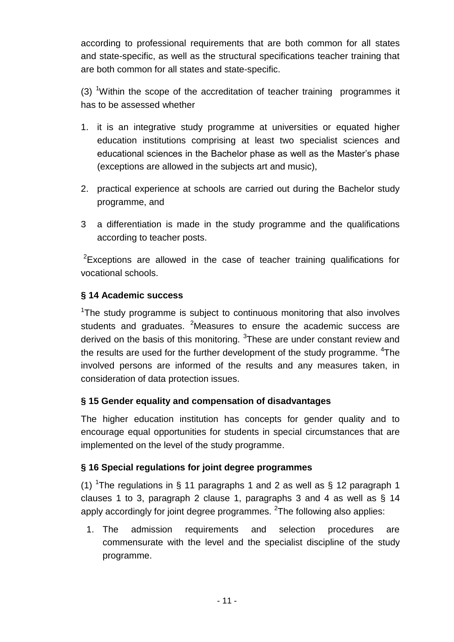according to professional requirements that are both common for all states and state-specific, as well as the structural specifications teacher training that are both common for all states and state-specific.

(3) <sup>1</sup>Within the scope of the accreditation of teacher training programmes it has to be assessed whether

- 1. it is an integrative study programme at universities or equated higher education institutions comprising at least two specialist sciences and educational sciences in the Bachelor phase as well as the Master's phase (exceptions are allowed in the subjects art and music),
- 2. practical experience at schools are carried out during the Bachelor study programme, and
- 3 a differentiation is made in the study programme and the qualifications according to teacher posts.

 $2$ Exceptions are allowed in the case of teacher training qualifications for vocational schools.

#### **§ 14 Academic success**

<sup>1</sup>The study programme is subject to continuous monitoring that also involves students and graduates. <sup>2</sup>Measures to ensure the academic success are derived on the basis of this monitoring. <sup>3</sup>These are under constant review and the results are used for the further development of the study programme. <sup>4</sup>The involved persons are informed of the results and any measures taken, in consideration of data protection issues.

#### **§ 15 Gender equality and compensation of disadvantages**

The higher education institution has concepts for gender quality and to encourage equal opportunities for students in special circumstances that are implemented on the level of the study programme.

#### **§ 16 Special regulations for joint degree programmes**

(1) <sup>1</sup>The regulations in § 11 paragraphs 1 and 2 as well as § 12 paragraph 1 clauses 1 to 3, paragraph 2 clause 1, paragraphs 3 and 4 as well as § 14 apply accordingly for joint degree programmes.  $^{2}$ The following also applies:

1. The admission requirements and selection procedures are commensurate with the level and the specialist discipline of the study programme.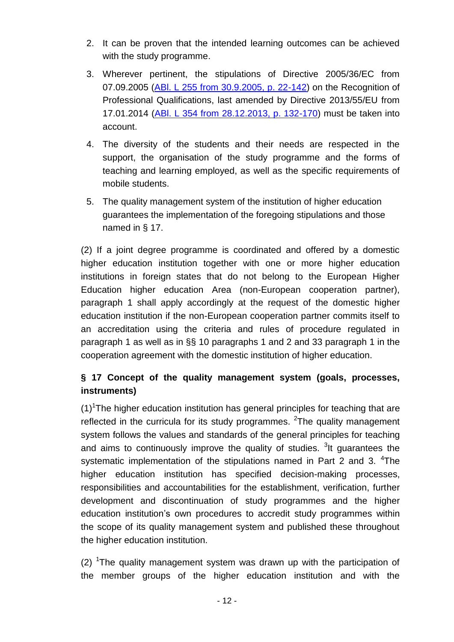- 2. It can be proven that the intended learning outcomes can be achieved with the study programme.
- 3. Wherever pertinent, the stipulations of Directive 2005/36/EC from 07.09.2005 [\(ABl. L 255 from 30.9.2005, p. 22-142\)](http://eur-lex.europa.eu/legal-content/DE/AUTO/?uri=uriserv:OJ.L_.2005.255.01.0022.01.DEU) on the Recognition of Professional Qualifications, last amended by Directive 2013/55/EU from 17.01.2014 [\(ABl. L 354 from 28.12.2013, p. 132-170\)](http://eur-lex.europa.eu/legal-content/DE/AUTO/?uri=uriserv:OJ.L_.2013.354.01.0132.01.DEU) must be taken into account.
- 4. The diversity of the students and their needs are respected in the support, the organisation of the study programme and the forms of teaching and learning employed, as well as the specific requirements of mobile students.
- 5. The quality management system of the institution of higher education guarantees the implementation of the foregoing stipulations and those named in § 17.

(2) If a joint degree programme is coordinated and offered by a domestic higher education institution together with one or more higher education institutions in foreign states that do not belong to the European Higher Education higher education Area (non-European cooperation partner), paragraph 1 shall apply accordingly at the request of the domestic higher education institution if the non-European cooperation partner commits itself to an accreditation using the criteria and rules of procedure regulated in paragraph 1 as well as in §§ 10 paragraphs 1 and 2 and 33 paragraph 1 in the cooperation agreement with the domestic institution of higher education.

# **§ 17 Concept of the quality management system (goals, processes, instruments)**

 $(1)$ <sup>1</sup>The higher education institution has general principles for teaching that are reflected in the curricula for its study programmes.  $2$ The quality management system follows the values and standards of the general principles for teaching and aims to continuously improve the quality of studies. <sup>3</sup>It guarantees the systematic implementation of the stipulations named in Part 2 and 3.  $4$ The higher education institution has specified decision-making processes, responsibilities and accountabilities for the establishment, verification, further development and discontinuation of study programmes and the higher education institution's own procedures to accredit study programmes within the scope of its quality management system and published these throughout the higher education institution.

(2) <sup>1</sup>The quality management system was drawn up with the participation of the member groups of the higher education institution and with the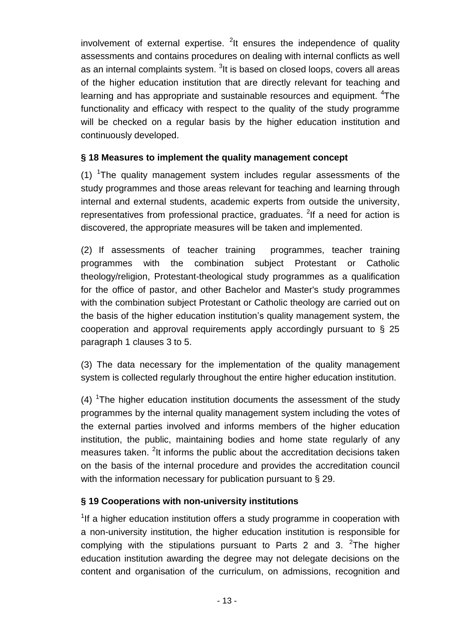involvement of external expertise. <sup>2</sup>It ensures the independence of quality assessments and contains procedures on dealing with internal conflicts as well as an internal complaints system. <sup>3</sup>lt is based on closed loops, covers all areas of the higher education institution that are directly relevant for teaching and learning and has appropriate and sustainable resources and equipment. <sup>4</sup>The functionality and efficacy with respect to the quality of the study programme will be checked on a regular basis by the higher education institution and continuously developed.

#### **§ 18 Measures to implement the quality management concept**

 $(1)$  <sup>1</sup>The quality management system includes regular assessments of the study programmes and those areas relevant for teaching and learning through internal and external students, academic experts from outside the university, representatives from professional practice, graduates. <sup>2</sup>If a need for action is discovered, the appropriate measures will be taken and implemented.

(2) If assessments of teacher training programmes, teacher training programmes with the combination subject Protestant or Catholic theology/religion, Protestant-theological study programmes as a qualification for the office of pastor, and other Bachelor and Master's study programmes with the combination subject Protestant or Catholic theology are carried out on the basis of the higher education institution's quality management system, the cooperation and approval requirements apply accordingly pursuant to § 25 paragraph 1 clauses 3 to 5.

(3) The data necessary for the implementation of the quality management system is collected regularly throughout the entire higher education institution.

 $(4)$  <sup>1</sup>The higher education institution documents the assessment of the study programmes by the internal quality management system including the votes of the external parties involved and informs members of the higher education institution, the public, maintaining bodies and home state regularly of any measures taken. <sup>2</sup>It informs the public about the accreditation decisions taken on the basis of the internal procedure and provides the accreditation council with the information necessary for publication pursuant to § 29.

## **§ 19 Cooperations with non-university institutions**

<sup>1</sup>If a higher education institution offers a study programme in cooperation with a non-university institution, the higher education institution is responsible for complying with the stipulations pursuant to Parts 2 and 3.  $2^2$ The higher education institution awarding the degree may not delegate decisions on the content and organisation of the curriculum, on admissions, recognition and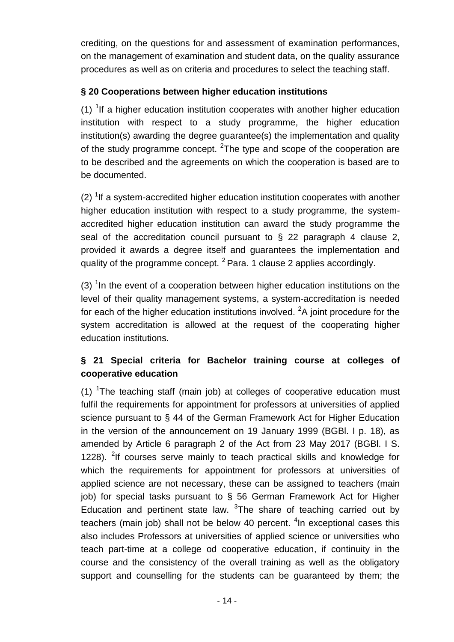crediting, on the questions for and assessment of examination performances, on the management of examination and student data, on the quality assurance procedures as well as on criteria and procedures to select the teaching staff.

## **§ 20 Cooperations between higher education institutions**

(1)  $1$  If a higher education institution cooperates with another higher education institution with respect to a study programme, the higher education institution(s) awarding the degree guarantee(s) the implementation and quality of the study programme concept.  $2$ The type and scope of the cooperation are to be described and the agreements on which the cooperation is based are to be documented.

 $(2)$  <sup>1</sup>If a system-accredited higher education institution cooperates with another higher education institution with respect to a study programme, the systemaccredited higher education institution can award the study programme the seal of the accreditation council pursuant to  $\S$  22 paragraph 4 clause 2, provided it awards a degree itself and guarantees the implementation and quality of the programme concept.  $^{2}$  Para. 1 clause 2 applies accordingly.

 $(3)$  <sup>1</sup>In the event of a cooperation between higher education institutions on the level of their quality management systems, a system-accreditation is needed for each of the higher education institutions involved.  ${}^{2}$ A joint procedure for the system accreditation is allowed at the request of the cooperating higher education institutions.

# **§ 21 Special criteria for Bachelor training course at colleges of cooperative education**

(1)  $T$ The teaching staff (main job) at colleges of cooperative education must fulfil the requirements for appointment for professors at universities of applied science pursuant to § 44 of the German Framework Act for Higher Education in the version of the announcement on 19 January 1999 (BGBl. I p. 18), as amended by Article 6 paragraph 2 of the Act from 23 May 2017 (BGBl. I S. 1228). <sup>2</sup>If courses serve mainly to teach practical skills and knowledge for which the requirements for appointment for professors at universities of applied science are not necessary, these can be assigned to teachers (main job) for special tasks pursuant to § 56 German Framework Act for Higher Education and pertinent state law.  $3$ The share of teaching carried out by teachers (main job) shall not be below 40 percent.  $4$ In exceptional cases this also includes Professors at universities of applied science or universities who teach part-time at a college od cooperative education, if continuity in the course and the consistency of the overall training as well as the obligatory support and counselling for the students can be guaranteed by them; the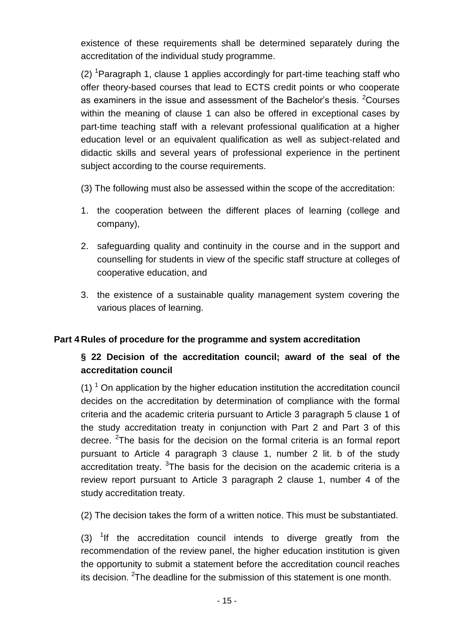existence of these requirements shall be determined separately during the accreditation of the individual study programme.

(2) <sup>1</sup>Paragraph 1, clause 1 applies accordingly for part-time teaching staff who offer theory-based courses that lead to ECTS credit points or who cooperate as examiners in the issue and assessment of the Bachelor's thesis. <sup>2</sup>Courses within the meaning of clause 1 can also be offered in exceptional cases by part-time teaching staff with a relevant professional qualification at a higher education level or an equivalent qualification as well as subject-related and didactic skills and several years of professional experience in the pertinent subject according to the course requirements.

- (3) The following must also be assessed within the scope of the accreditation:
- 1. the cooperation between the different places of learning (college and company),
- 2. safeguarding quality and continuity in the course and in the support and counselling for students in view of the specific staff structure at colleges of cooperative education, and
- 3. the existence of a sustainable quality management system covering the various places of learning.

#### **Part 4 Rules of procedure for the programme and system accreditation**

# **§ 22 Decision of the accreditation council; award of the seal of the accreditation council**

 $(1)$ <sup>1</sup> On application by the higher education institution the accreditation council decides on the accreditation by determination of compliance with the formal criteria and the academic criteria pursuant to Article 3 paragraph 5 clause 1 of the study accreditation treaty in conjunction with Part 2 and Part 3 of this decree. <sup>2</sup>The basis for the decision on the formal criteria is an formal report pursuant to Article 4 paragraph 3 clause 1, number 2 lit. b of the study accreditation treaty.  $3$ The basis for the decision on the academic criteria is a review report pursuant to Article 3 paragraph 2 clause 1, number 4 of the study accreditation treaty.

(2) The decision takes the form of a written notice. This must be substantiated.

(3)  $1$ If the accreditation council intends to diverge greatly from the recommendation of the review panel, the higher education institution is given the opportunity to submit a statement before the accreditation council reaches its decision. <sup>2</sup>The deadline for the submission of this statement is one month.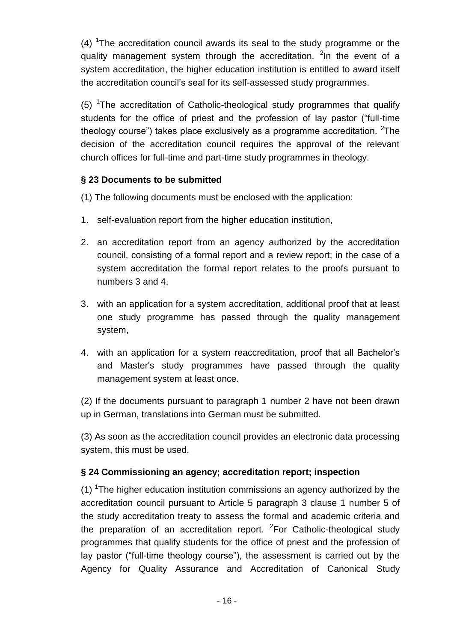$(4)$  <sup>1</sup>The accreditation council awards its seal to the study programme or the quality management system through the accreditation. <sup>2</sup>In the event of a system accreditation, the higher education institution is entitled to award itself the accreditation council's seal for its self-assessed study programmes.

(5)  $1$ The accreditation of Catholic-theological study programmes that qualify students for the office of priest and the profession of lay pastor ("full-time theology course") takes place exclusively as a programme accreditation. <sup>2</sup>The decision of the accreditation council requires the approval of the relevant church offices for full-time and part-time study programmes in theology.

## **§ 23 Documents to be submitted**

(1) The following documents must be enclosed with the application:

- 1. self-evaluation report from the higher education institution,
- 2. an accreditation report from an agency authorized by the accreditation council, consisting of a formal report and a review report; in the case of a system accreditation the formal report relates to the proofs pursuant to numbers 3 and 4,
- 3. with an application for a system accreditation, additional proof that at least one study programme has passed through the quality management system,
- 4. with an application for a system reaccreditation, proof that all Bachelor's and Master's study programmes have passed through the quality management system at least once.

(2) If the documents pursuant to paragraph 1 number 2 have not been drawn up in German, translations into German must be submitted.

(3) As soon as the accreditation council provides an electronic data processing system, this must be used.

## **§ 24 Commissioning an agency; accreditation report; inspection**

(1) <sup>1</sup>The higher education institution commissions an agency authorized by the accreditation council pursuant to Article 5 paragraph 3 clause 1 number 5 of the study accreditation treaty to assess the formal and academic criteria and the preparation of an accreditation report.  ${}^{2}$ For Catholic-theological study programmes that qualify students for the office of priest and the profession of lay pastor ("full-time theology course"), the assessment is carried out by the Agency for Quality Assurance and Accreditation of Canonical Study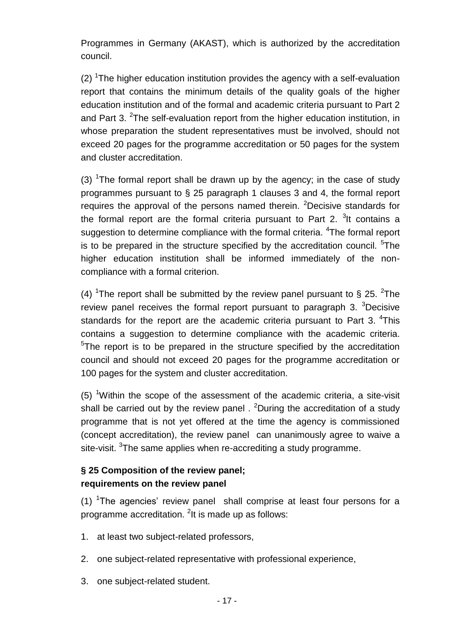Programmes in Germany (AKAST), which is authorized by the accreditation council.

 $(2)$  <sup>1</sup>The higher education institution provides the agency with a self-evaluation report that contains the minimum details of the quality goals of the higher education institution and of the formal and academic criteria pursuant to Part 2 and Part 3.  $2$ The self-evaluation report from the higher education institution, in whose preparation the student representatives must be involved, should not exceed 20 pages for the programme accreditation or 50 pages for the system and cluster accreditation.

(3) <sup>1</sup>The formal report shall be drawn up by the agency; in the case of study programmes pursuant to § 25 paragraph 1 clauses 3 and 4, the formal report requires the approval of the persons named therein. <sup>2</sup>Decisive standards for the formal report are the formal criteria pursuant to Part 2.  $3$ It contains a suggestion to determine compliance with the formal criteria. <sup>4</sup>The formal report is to be prepared in the structure specified by the accreditation council. <sup>5</sup>The higher education institution shall be informed immediately of the noncompliance with a formal criterion.

(4) <sup>1</sup>The report shall be submitted by the review panel pursuant to § 25. <sup>2</sup>The review panel receives the formal report pursuant to paragraph  $3.$   $3$ Decisive standards for the report are the academic criteria pursuant to Part 3.  $4$ This contains a suggestion to determine compliance with the academic criteria. <sup>5</sup>The report is to be prepared in the structure specified by the accreditation council and should not exceed 20 pages for the programme accreditation or 100 pages for the system and cluster accreditation.

(5) <sup>1</sup>Within the scope of the assessment of the academic criteria, a site-visit shall be carried out by the review panel . <sup>2</sup>During the accreditation of a study programme that is not yet offered at the time the agency is commissioned (concept accreditation), the review panel can unanimously agree to waive a site-visit. <sup>3</sup>The same applies when re-accrediting a study programme.

## **§ 25 Composition of the review panel; requirements on the review panel**

(1)  $\textsuperscript{1}$  The agencies' review panel shall comprise at least four persons for a programme accreditation. <sup>2</sup>It is made up as follows:

- 1. at least two subject-related professors,
- 2. one subject-related representative with professional experience,
- 3. one subject-related student.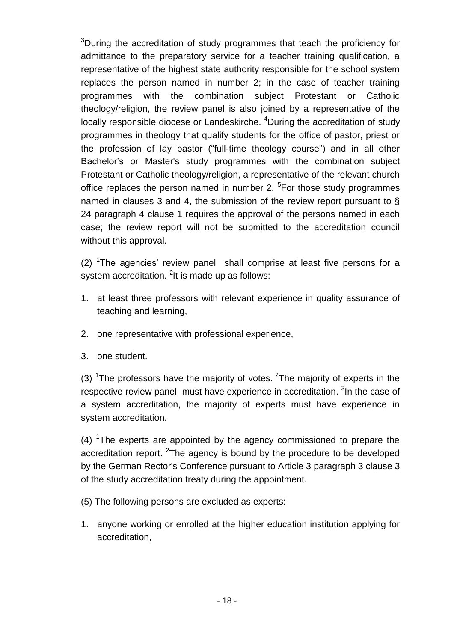<sup>3</sup>During the accreditation of study programmes that teach the proficiency for admittance to the preparatory service for a teacher training qualification, a representative of the highest state authority responsible for the school system replaces the person named in number 2; in the case of teacher training programmes with the combination subject Protestant or Catholic theology/religion, the review panel is also joined by a representative of the locally responsible diocese or Landeskirche. <sup>4</sup>During the accreditation of study programmes in theology that qualify students for the office of pastor, priest or the profession of lay pastor ("full-time theology course") and in all other Bachelor's or Master's study programmes with the combination subject Protestant or Catholic theology/religion, a representative of the relevant church office replaces the person named in number 2. <sup>5</sup>For those study programmes named in clauses 3 and 4, the submission of the review report pursuant to § 24 paragraph 4 clause 1 requires the approval of the persons named in each case; the review report will not be submitted to the accreditation council without this approval.

 $(2)$  <sup>1</sup>The agencies' review panel shall comprise at least five persons for a system accreditation.  ${}^{2}$ It is made up as follows:

- 1. at least three professors with relevant experience in quality assurance of teaching and learning,
- 2. one representative with professional experience,
- 3. one student.

(3) <sup>1</sup>The professors have the majority of votes. <sup>2</sup>The majority of experts in the respective review panel must have experience in accreditation. <sup>3</sup> In the case of a system accreditation, the majority of experts must have experience in system accreditation.

 $(4)$  <sup>1</sup>The experts are appointed by the agency commissioned to prepare the accreditation report. <sup>2</sup>The agency is bound by the procedure to be developed by the German Rector's Conference pursuant to Article 3 paragraph 3 clause 3 of the study accreditation treaty during the appointment.

(5) The following persons are excluded as experts:

1. anyone working or enrolled at the higher education institution applying for accreditation,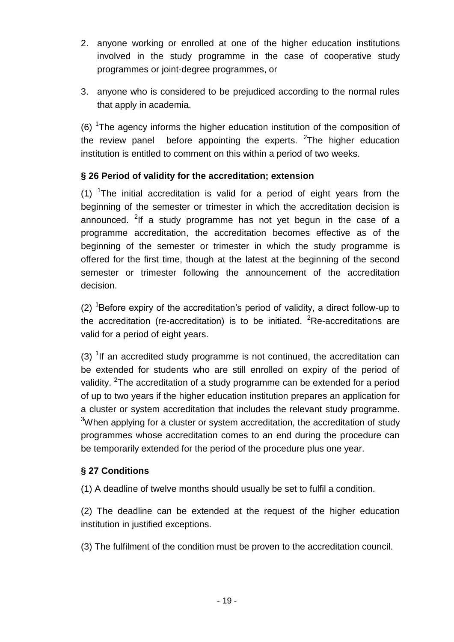- 2. anyone working or enrolled at one of the higher education institutions involved in the study programme in the case of cooperative study programmes or joint-degree programmes, or
- 3. anyone who is considered to be prejudiced according to the normal rules that apply in academia.

(6)  $T$ The agency informs the higher education institution of the composition of the review panel before appointing the experts.  $2$ The higher education institution is entitled to comment on this within a period of two weeks.

## **§ 26 Period of validity for the accreditation; extension**

(1) <sup>1</sup>The initial accreditation is valid for a period of eight years from the beginning of the semester or trimester in which the accreditation decision is announced. <sup>2</sup>If a study programme has not yet begun in the case of a programme accreditation, the accreditation becomes effective as of the beginning of the semester or trimester in which the study programme is offered for the first time, though at the latest at the beginning of the second semester or trimester following the announcement of the accreditation decision.

(2) <sup>1</sup>Before expiry of the accreditation's period of validity, a direct follow-up to the accreditation (re-accreditation) is to be initiated.  ${}^{2}$ Re-accreditations are valid for a period of eight years.

(3)  $1$ If an accredited study programme is not continued, the accreditation can be extended for students who are still enrolled on expiry of the period of validity. <sup>2</sup>The accreditation of a study programme can be extended for a period of up to two years if the higher education institution prepares an application for a cluster or system accreditation that includes the relevant study programme.  $3$ When applying for a cluster or system accreditation, the accreditation of study programmes whose accreditation comes to an end during the procedure can be temporarily extended for the period of the procedure plus one year.

## **§ 27 Conditions**

(1) A deadline of twelve months should usually be set to fulfil a condition.

(2) The deadline can be extended at the request of the higher education institution in justified exceptions.

(3) The fulfilment of the condition must be proven to the accreditation council.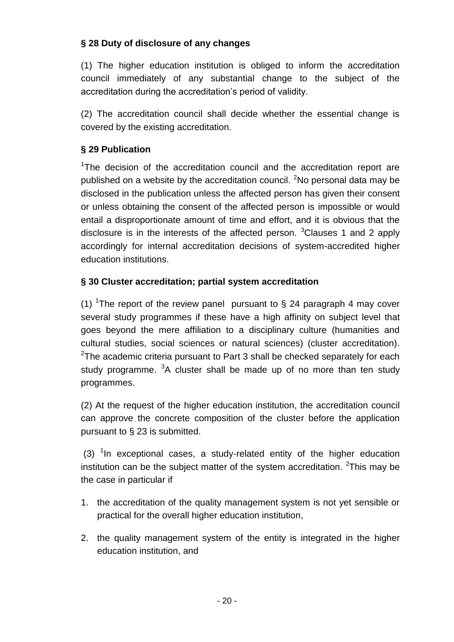## **§ 28 Duty of disclosure of any changes**

(1) The higher education institution is obliged to inform the accreditation council immediately of any substantial change to the subject of the accreditation during the accreditation's period of validity.

(2) The accreditation council shall decide whether the essential change is covered by the existing accreditation.

## **§ 29 Publication**

<sup>1</sup>The decision of the accreditation council and the accreditation report are published on a website by the accreditation council. <sup>2</sup>No personal data may be disclosed in the publication unless the affected person has given their consent or unless obtaining the consent of the affected person is impossible or would entail a disproportionate amount of time and effort, and it is obvious that the disclosure is in the interests of the affected person.  $3$ Clauses 1 and 2 apply accordingly for internal accreditation decisions of system-accredited higher education institutions.

## **§ 30 Cluster accreditation; partial system accreditation**

(1) <sup>1</sup>The report of the review panel pursuant to  $\S$  24 paragraph 4 may cover several study programmes if these have a high affinity on subject level that goes beyond the mere affiliation to a disciplinary culture (humanities and cultural studies, social sciences or natural sciences) (cluster accreditation).  $2$ The academic criteria pursuant to Part 3 shall be checked separately for each study programme. <sup>3</sup>A cluster shall be made up of no more than ten study programmes.

(2) At the request of the higher education institution, the accreditation council can approve the concrete composition of the cluster before the application pursuant to § 23 is submitted.

(3)  $1$ In exceptional cases, a study-related entity of the higher education institution can be the subject matter of the system accreditation.  $2$ This may be the case in particular if

- 1. the accreditation of the quality management system is not yet sensible or practical for the overall higher education institution,
- 2. the quality management system of the entity is integrated in the higher education institution, and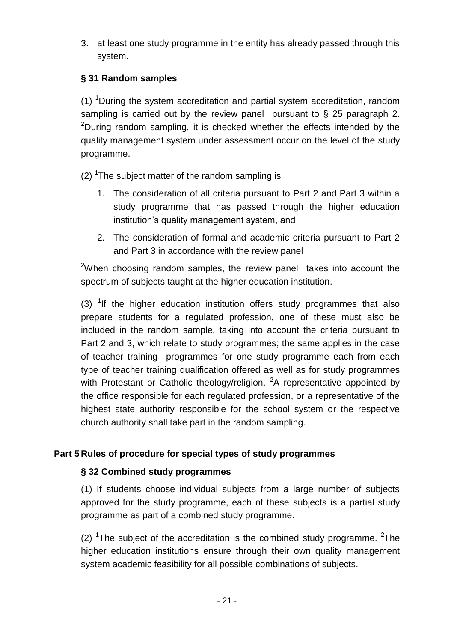3. at least one study programme in the entity has already passed through this system.

## **§ 31 Random samples**

(1) <sup>1</sup>During the system accreditation and partial system accreditation, random sampling is carried out by the review panel pursuant to § 25 paragraph 2. <sup>2</sup>During random sampling, it is checked whether the effects intended by the quality management system under assessment occur on the level of the study programme.

 $(2)$  <sup>1</sup>The subject matter of the random sampling is

- 1. The consideration of all criteria pursuant to Part 2 and Part 3 within a study programme that has passed through the higher education institution's quality management system, and
- 2. The consideration of formal and academic criteria pursuant to Part 2 and Part 3 in accordance with the review panel

<sup>2</sup>When choosing random samples, the review panel takes into account the spectrum of subjects taught at the higher education institution.

(3)  $1$ If the higher education institution offers study programmes that also prepare students for a regulated profession, one of these must also be included in the random sample, taking into account the criteria pursuant to Part 2 and 3, which relate to study programmes; the same applies in the case of teacher training programmes for one study programme each from each type of teacher training qualification offered as well as for study programmes with Protestant or Catholic theology/religion.  ${}^{2}A$  representative appointed by the office responsible for each regulated profession, or a representative of the highest state authority responsible for the school system or the respective church authority shall take part in the random sampling.

## **Part 5 Rules of procedure for special types of study programmes**

## **§ 32 Combined study programmes**

(1) If students choose individual subjects from a large number of subjects approved for the study programme, each of these subjects is a partial study programme as part of a combined study programme.

(2) <sup>1</sup>The subject of the accreditation is the combined study programme. <sup>2</sup>The higher education institutions ensure through their own quality management system academic feasibility for all possible combinations of subjects.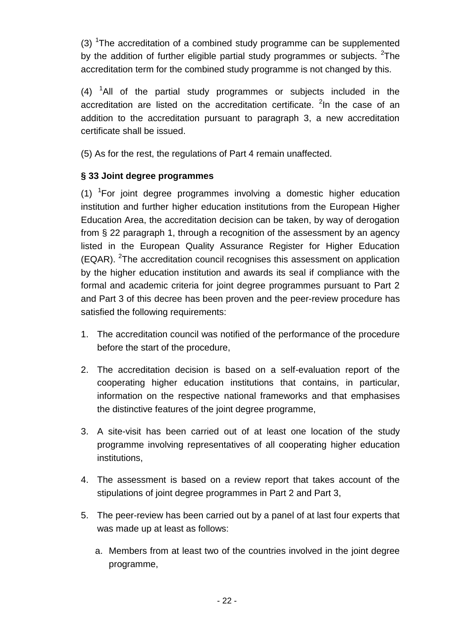(3) <sup>1</sup>The accreditation of a combined study programme can be supplemented by the addition of further eligible partial study programmes or subjects.  $2$ The accreditation term for the combined study programme is not changed by this.

 $(4)$  <sup>1</sup>All of the partial study programmes or subjects included in the accreditation are listed on the accreditation certificate.  $2$ In the case of an addition to the accreditation pursuant to paragraph 3, a new accreditation certificate shall be issued.

(5) As for the rest, the regulations of Part 4 remain unaffected.

## **§ 33 Joint degree programmes**

 $(1)$  <sup>1</sup> For joint degree programmes involving a domestic higher education institution and further higher education institutions from the European Higher Education Area, the accreditation decision can be taken, by way of derogation from § 22 paragraph 1, through a recognition of the assessment by an agency listed in the European Quality Assurance Register for Higher Education (EQAR). <sup>2</sup>The accreditation council recognises this assessment on application by the higher education institution and awards its seal if compliance with the formal and academic criteria for joint degree programmes pursuant to Part 2 and Part 3 of this decree has been proven and the peer-review procedure has satisfied the following requirements:

- 1. The accreditation council was notified of the performance of the procedure before the start of the procedure,
- 2. The accreditation decision is based on a self-evaluation report of the cooperating higher education institutions that contains, in particular, information on the respective national frameworks and that emphasises the distinctive features of the joint degree programme,
- 3. A site-visit has been carried out of at least one location of the study programme involving representatives of all cooperating higher education institutions,
- 4. The assessment is based on a review report that takes account of the stipulations of joint degree programmes in Part 2 and Part 3,
- 5. The peer-review has been carried out by a panel of at last four experts that was made up at least as follows:
	- a. Members from at least two of the countries involved in the joint degree programme,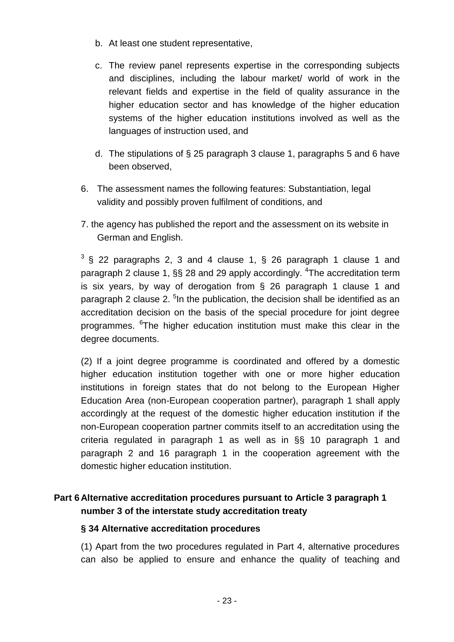- b. At least one student representative,
- c. The review panel represents expertise in the corresponding subjects and disciplines, including the labour market/ world of work in the relevant fields and expertise in the field of quality assurance in the higher education sector and has knowledge of the higher education systems of the higher education institutions involved as well as the languages of instruction used, and
- d. The stipulations of § 25 paragraph 3 clause 1, paragraphs 5 and 6 have been observed,
- 6. The assessment names the following features: Substantiation, legal validity and possibly proven fulfilment of conditions, and
- 7. the agency has published the report and the assessment on its website in German and English.

 $3$  § 22 paragraphs 2, 3 and 4 clause 1, § 26 paragraph 1 clause 1 and paragraph 2 clause 1, §§ 28 and 29 apply accordingly. <sup>4</sup>The accreditation term is six years, by way of derogation from § 26 paragraph 1 clause 1 and paragraph 2 clause 2. <sup>5</sup>In the publication, the decision shall be identified as an accreditation decision on the basis of the special procedure for joint degree programmes. <sup>6</sup>The higher education institution must make this clear in the degree documents.

(2) If a joint degree programme is coordinated and offered by a domestic higher education institution together with one or more higher education institutions in foreign states that do not belong to the European Higher Education Area (non-European cooperation partner), paragraph 1 shall apply accordingly at the request of the domestic higher education institution if the non-European cooperation partner commits itself to an accreditation using the criteria regulated in paragraph 1 as well as in §§ 10 paragraph 1 and paragraph 2 and 16 paragraph 1 in the cooperation agreement with the domestic higher education institution.

## **Part 6 Alternative accreditation procedures pursuant to Article 3 paragraph 1 number 3 of the interstate study accreditation treaty**

#### **§ 34 Alternative accreditation procedures**

(1) Apart from the two procedures regulated in Part 4, alternative procedures can also be applied to ensure and enhance the quality of teaching and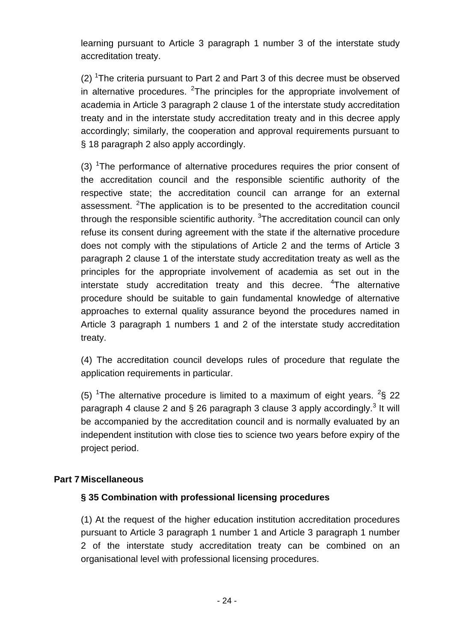learning pursuant to Article 3 paragraph 1 number 3 of the interstate study accreditation treaty.

(2) <sup>1</sup>The criteria pursuant to Part 2 and Part 3 of this decree must be observed in alternative procedures.  $2$ The principles for the appropriate involvement of academia in Article 3 paragraph 2 clause 1 of the interstate study accreditation treaty and in the interstate study accreditation treaty and in this decree apply accordingly; similarly, the cooperation and approval requirements pursuant to § 18 paragraph 2 also apply accordingly.

(3)  $1$ The performance of alternative procedures requires the prior consent of the accreditation council and the responsible scientific authority of the respective state; the accreditation council can arrange for an external assessment. <sup>2</sup>The application is to be presented to the accreditation council through the responsible scientific authority.  $3$ The accreditation council can only refuse its consent during agreement with the state if the alternative procedure does not comply with the stipulations of Article 2 and the terms of Article 3 paragraph 2 clause 1 of the interstate study accreditation treaty as well as the principles for the appropriate involvement of academia as set out in the interstate study accreditation treaty and this decree. <sup>4</sup>The alternative procedure should be suitable to gain fundamental knowledge of alternative approaches to external quality assurance beyond the procedures named in Article 3 paragraph 1 numbers 1 and 2 of the interstate study accreditation treaty.

(4) The accreditation council develops rules of procedure that regulate the application requirements in particular.

(5) <sup>1</sup>The alternative procedure is limited to a maximum of eight years.  $2\$  22 paragraph 4 clause 2 and § 26 paragraph 3 clause 3 apply accordingly.<sup>3</sup> It will be accompanied by the accreditation council and is normally evaluated by an independent institution with close ties to science two years before expiry of the project period.

#### **Part 7 Miscellaneous**

#### **§ 35 Combination with professional licensing procedures**

(1) At the request of the higher education institution accreditation procedures pursuant to Article 3 paragraph 1 number 1 and Article 3 paragraph 1 number 2 of the interstate study accreditation treaty can be combined on an organisational level with professional licensing procedures.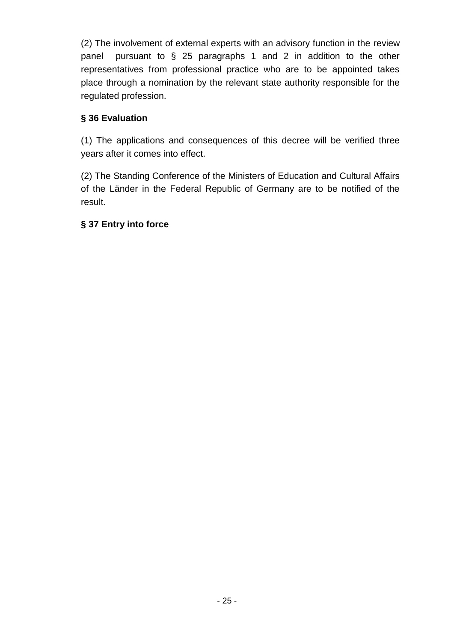(2) The involvement of external experts with an advisory function in the review panel pursuant to § 25 paragraphs 1 and 2 in addition to the other representatives from professional practice who are to be appointed takes place through a nomination by the relevant state authority responsible for the regulated profession.

#### **§ 36 Evaluation**

(1) The applications and consequences of this decree will be verified three years after it comes into effect.

(2) The Standing Conference of the Ministers of Education and Cultural Affairs of the Länder in the Federal Republic of Germany are to be notified of the result.

#### **§ 37 Entry into force**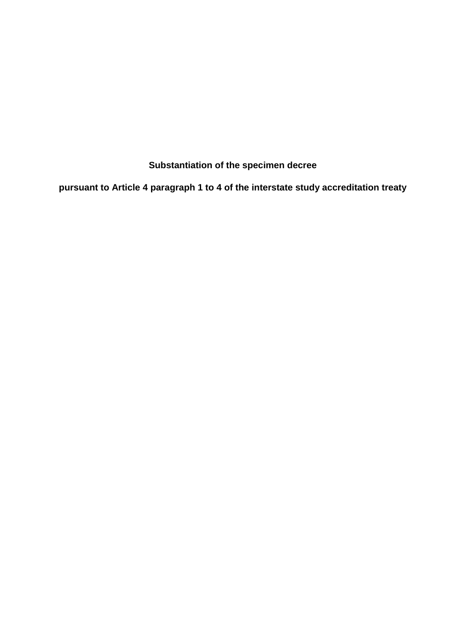**Substantiation of the specimen decree**

**pursuant to Article 4 paragraph 1 to 4 of the interstate study accreditation treaty**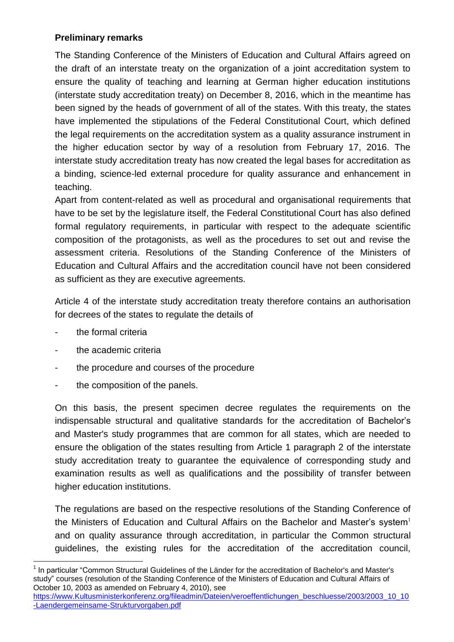#### **Preliminary remarks**

The Standing Conference of the Ministers of Education and Cultural Affairs agreed on the draft of an interstate treaty on the organization of a joint accreditation system to ensure the quality of teaching and learning at German higher education institutions (interstate study accreditation treaty) on December 8, 2016, which in the meantime has been signed by the heads of government of all of the states. With this treaty, the states have implemented the stipulations of the Federal Constitutional Court, which defined the legal requirements on the accreditation system as a quality assurance instrument in the higher education sector by way of a resolution from February 17, 2016. The interstate study accreditation treaty has now created the legal bases for accreditation as a binding, science-led external procedure for quality assurance and enhancement in teaching.

Apart from content-related as well as procedural and organisational requirements that have to be set by the legislature itself, the Federal Constitutional Court has also defined formal regulatory requirements, in particular with respect to the adequate scientific composition of the protagonists, as well as the procedures to set out and revise the assessment criteria. Resolutions of the Standing Conference of the Ministers of Education and Cultural Affairs and the accreditation council have not been considered as sufficient as they are executive agreements.

Article 4 of the interstate study accreditation treaty therefore contains an authorisation for decrees of the states to regulate the details of

- the formal criteria
- the academic criteria
- the procedure and courses of the procedure
- the composition of the panels.

On this basis, the present specimen decree regulates the requirements on the indispensable structural and qualitative standards for the accreditation of Bachelor's and Master's study programmes that are common for all states, which are needed to ensure the obligation of the states resulting from Article 1 paragraph 2 of the interstate study accreditation treaty to guarantee the equivalence of corresponding study and examination results as well as qualifications and the possibility of transfer between higher education institutions.

The regulations are based on the respective resolutions of the Standing Conference of the Ministers of Education and Cultural Affairs on the Bachelor and Master's system $<sup>1</sup>$ </sup> and on quality assurance through accreditation, in particular the Common structural guidelines, the existing rules for the accreditation of the accreditation council,

l 1 In particular "Common Structural Guidelines of the Länder for the accreditation of Bachelor's and Master's study" courses (resolution of the Standing Conference of the Ministers of Education and Cultural Affairs of October 10, 2003 as amended on February 4, 2010), see

[https://www.Kultusministerkonferenz.org/fileadmin/Dateien/veroeffentlichungen\\_beschluesse/2003/2003\\_10\\_10](https://www.kmk.org/fileadmin/Dateien/veroeffentlichungen_beschluesse/2003/2003_10_10-Laendergemeinsame-Strukturvorgaben.pdf) [-Laendergemeinsame-Strukturvorgaben.pdf](https://www.kmk.org/fileadmin/Dateien/veroeffentlichungen_beschluesse/2003/2003_10_10-Laendergemeinsame-Strukturvorgaben.pdf)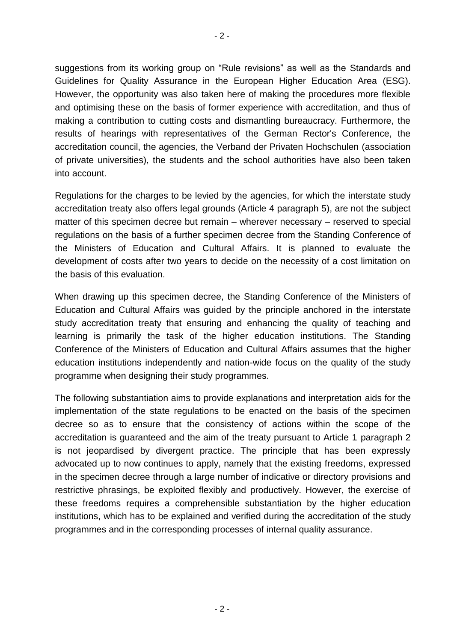suggestions from its working group on "Rule revisions" as well as the Standards and Guidelines for Quality Assurance in the European Higher Education Area (ESG). However, the opportunity was also taken here of making the procedures more flexible and optimising these on the basis of former experience with accreditation, and thus of making a contribution to cutting costs and dismantling bureaucracy. Furthermore, the results of hearings with representatives of the German Rector's Conference, the accreditation council, the agencies, the Verband der Privaten Hochschulen (association of private universities), the students and the school authorities have also been taken into account.

Regulations for the charges to be levied by the agencies, for which the interstate study accreditation treaty also offers legal grounds (Article 4 paragraph 5), are not the subject matter of this specimen decree but remain – wherever necessary – reserved to special regulations on the basis of a further specimen decree from the Standing Conference of the Ministers of Education and Cultural Affairs. It is planned to evaluate the development of costs after two years to decide on the necessity of a cost limitation on the basis of this evaluation.

When drawing up this specimen decree, the Standing Conference of the Ministers of Education and Cultural Affairs was guided by the principle anchored in the interstate study accreditation treaty that ensuring and enhancing the quality of teaching and learning is primarily the task of the higher education institutions. The Standing Conference of the Ministers of Education and Cultural Affairs assumes that the higher education institutions independently and nation-wide focus on the quality of the study programme when designing their study programmes.

The following substantiation aims to provide explanations and interpretation aids for the implementation of the state regulations to be enacted on the basis of the specimen decree so as to ensure that the consistency of actions within the scope of the accreditation is guaranteed and the aim of the treaty pursuant to Article 1 paragraph 2 is not jeopardised by divergent practice. The principle that has been expressly advocated up to now continues to apply, namely that the existing freedoms, expressed in the specimen decree through a large number of indicative or directory provisions and restrictive phrasings, be exploited flexibly and productively. However, the exercise of these freedoms requires a comprehensible substantiation by the higher education institutions, which has to be explained and verified during the accreditation of the study programmes and in the corresponding processes of internal quality assurance.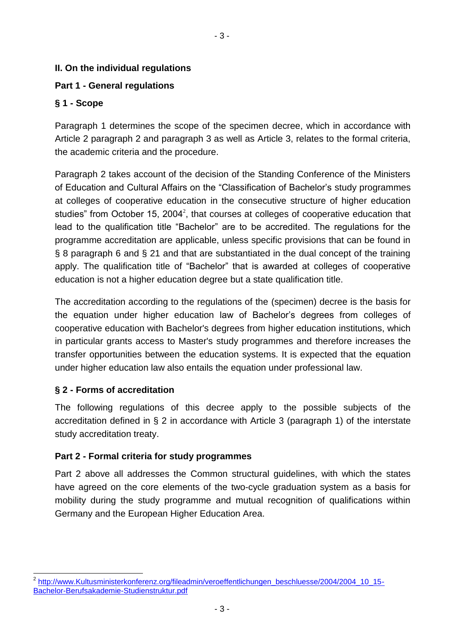## **II. On the individual regulations**

#### **Part 1 - General regulations**

#### **§ 1 - Scope**

Paragraph 1 determines the scope of the specimen decree, which in accordance with Article 2 paragraph 2 and paragraph 3 as well as Article 3, relates to the formal criteria, the academic criteria and the procedure.

- 3 -

Paragraph 2 takes account of the decision of the Standing Conference of the Ministers of Education and Cultural Affairs on the "Classification of Bachelor's study programmes at colleges of cooperative education in the consecutive structure of higher education studies" from October 15, 2004<sup>2</sup>, that courses at colleges of cooperative education that lead to the qualification title "Bachelor" are to be accredited. The regulations for the programme accreditation are applicable, unless specific provisions that can be found in § 8 paragraph 6 and § 21 and that are substantiated in the dual concept of the training apply. The qualification title of "Bachelor" that is awarded at colleges of cooperative education is not a higher education degree but a state qualification title.

The accreditation according to the regulations of the (specimen) decree is the basis for the equation under higher education law of Bachelor's degrees from colleges of cooperative education with Bachelor's degrees from higher education institutions, which in particular grants access to Master's study programmes and therefore increases the transfer opportunities between the education systems. It is expected that the equation under higher education law also entails the equation under professional law.

## **§ 2 - Forms of accreditation**

l

The following regulations of this decree apply to the possible subjects of the accreditation defined in § 2 in accordance with Article 3 (paragraph 1) of the interstate study accreditation treaty.

#### **Part 2 - Formal criteria for study programmes**

Part 2 above all addresses the Common structural guidelines, with which the states have agreed on the core elements of the two-cycle graduation system as a basis for mobility during the study programme and mutual recognition of qualifications within Germany and the European Higher Education Area.

<sup>&</sup>lt;sup>2</sup> [http://www.Kultusministerkonferenz.org/fileadmin/veroeffentlichungen\\_beschluesse/2004/2004\\_10\\_15-](http://www.kmk.org/fileadmin/veroeffentlichungen_beschluesse/2004/2004_10_15-Bachelor-Berufsakademie-Studienstruktur.pdf) [Bachelor-Berufsakademie-Studienstruktur.pdf](http://www.kmk.org/fileadmin/veroeffentlichungen_beschluesse/2004/2004_10_15-Bachelor-Berufsakademie-Studienstruktur.pdf)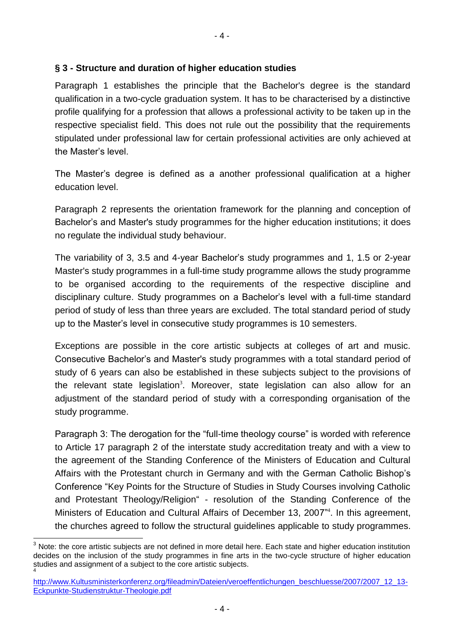#### **§ 3 - Structure and duration of higher education studies**

Paragraph 1 establishes the principle that the Bachelor's degree is the standard qualification in a two-cycle graduation system. It has to be characterised by a distinctive profile qualifying for a profession that allows a professional activity to be taken up in the respective specialist field. This does not rule out the possibility that the requirements stipulated under professional law for certain professional activities are only achieved at the Master's level.

The Master's degree is defined as a another professional qualification at a higher education level.

Paragraph 2 represents the orientation framework for the planning and conception of Bachelor's and Master's study programmes for the higher education institutions; it does no regulate the individual study behaviour.

The variability of 3, 3.5 and 4-year Bachelor's study programmes and 1, 1.5 or 2-year Master's study programmes in a full-time study programme allows the study programme to be organised according to the requirements of the respective discipline and disciplinary culture. Study programmes on a Bachelor's level with a full-time standard period of study of less than three years are excluded. The total standard period of study up to the Master's level in consecutive study programmes is 10 semesters.

Exceptions are possible in the core artistic subjects at colleges of art and music. Consecutive Bachelor's and Master's study programmes with a total standard period of study of 6 years can also be established in these subjects subject to the provisions of the relevant state legislation<sup>3</sup>. Moreover, state legislation can also allow for an adjustment of the standard period of study with a corresponding organisation of the study programme.

Paragraph 3: The derogation for the "full-time theology course" is worded with reference to Article 17 paragraph 2 of the interstate study accreditation treaty and with a view to the agreement of the Standing Conference of the Ministers of Education and Cultural Affairs with the Protestant church in Germany and with the German Catholic Bishop's Conference "Key Points for the Structure of Studies in Study Courses involving Catholic and Protestant Theology/Religion" - resolution of the Standing Conference of the Ministers of Education and Cultural Affairs of December 13, 2007<sup>n4</sup>. In this agreement, the churches agreed to follow the structural guidelines applicable to study programmes.

<sup>3</sup> Note: the core artistic subjects are not defined in more detail here. Each state and higher education institution decides on the inclusion of the study programmes in fine arts in the two-cycle structure of higher education studies and assignment of a subject to the core artistic subjects. 4

[http://www.Kultusministerkonferenz.org/fileadmin/Dateien/veroeffentlichungen\\_beschluesse/2007/2007\\_12\\_13-](http://www.kmk.org/fileadmin/Dateien/veroeffentlichungen_beschluesse/2007/2007_12_13-Eckpunkte-Studienstruktur-Theologie.pdf) [Eckpunkte-Studienstruktur-Theologie.pdf](http://www.kmk.org/fileadmin/Dateien/veroeffentlichungen_beschluesse/2007/2007_12_13-Eckpunkte-Studienstruktur-Theologie.pdf)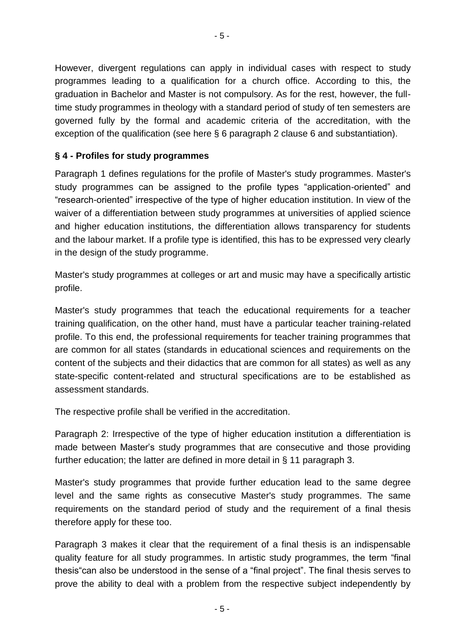However, divergent regulations can apply in individual cases with respect to study programmes leading to a qualification for a church office. According to this, the graduation in Bachelor and Master is not compulsory. As for the rest, however, the fulltime study programmes in theology with a standard period of study of ten semesters are governed fully by the formal and academic criteria of the accreditation, with the exception of the qualification (see here § 6 paragraph 2 clause 6 and substantiation).

#### **§ 4 - Profiles for study programmes**

Paragraph 1 defines regulations for the profile of Master's study programmes. Master's study programmes can be assigned to the profile types "application-oriented" and "research-oriented" irrespective of the type of higher education institution. In view of the waiver of a differentiation between study programmes at universities of applied science and higher education institutions, the differentiation allows transparency for students and the labour market. If a profile type is identified, this has to be expressed very clearly in the design of the study programme.

Master's study programmes at colleges or art and music may have a specifically artistic profile.

Master's study programmes that teach the educational requirements for a teacher training qualification, on the other hand, must have a particular teacher training-related profile. To this end, the professional requirements for teacher training programmes that are common for all states (standards in educational sciences and requirements on the content of the subjects and their didactics that are common for all states) as well as any state-specific content-related and structural specifications are to be established as assessment standards.

The respective profile shall be verified in the accreditation.

Paragraph 2: Irrespective of the type of higher education institution a differentiation is made between Master's study programmes that are consecutive and those providing further education; the latter are defined in more detail in § 11 paragraph 3.

Master's study programmes that provide further education lead to the same degree level and the same rights as consecutive Master's study programmes. The same requirements on the standard period of study and the requirement of a final thesis therefore apply for these too.

Paragraph 3 makes it clear that the requirement of a final thesis is an indispensable quality feature for all study programmes. In artistic study programmes, the term "final thesis"can also be understood in the sense of a "final project". The final thesis serves to prove the ability to deal with a problem from the respective subject independently by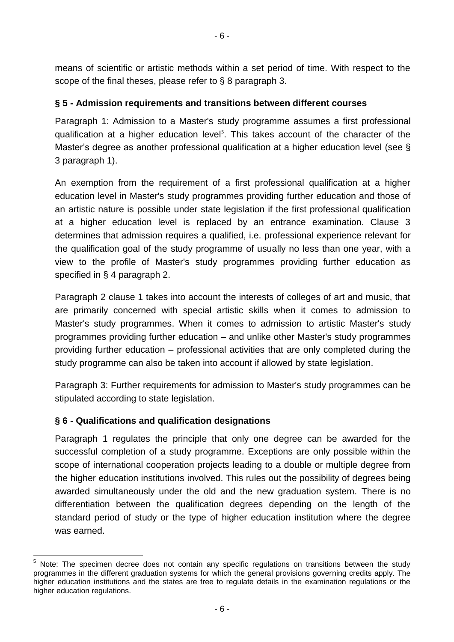means of scientific or artistic methods within a set period of time. With respect to the scope of the final theses, please refer to § 8 paragraph 3.

#### **§ 5 - Admission requirements and transitions between different courses**

Paragraph 1: Admission to a Master's study programme assumes a first professional qualification at a higher education level<sup>5</sup>. This takes account of the character of the Master's degree as another professional qualification at a higher education level (see § 3 paragraph 1).

An exemption from the requirement of a first professional qualification at a higher education level in Master's study programmes providing further education and those of an artistic nature is possible under state legislation if the first professional qualification at a higher education level is replaced by an entrance examination. Clause 3 determines that admission requires a qualified, i.e. professional experience relevant for the qualification goal of the study programme of usually no less than one year, with a view to the profile of Master's study programmes providing further education as specified in § 4 paragraph 2.

Paragraph 2 clause 1 takes into account the interests of colleges of art and music, that are primarily concerned with special artistic skills when it comes to admission to Master's study programmes. When it comes to admission to artistic Master's study programmes providing further education – and unlike other Master's study programmes providing further education – professional activities that are only completed during the study programme can also be taken into account if allowed by state legislation.

Paragraph 3: Further requirements for admission to Master's study programmes can be stipulated according to state legislation.

#### **§ 6 - Qualifications and qualification designations**

l

Paragraph 1 regulates the principle that only one degree can be awarded for the successful completion of a study programme. Exceptions are only possible within the scope of international cooperation projects leading to a double or multiple degree from the higher education institutions involved. This rules out the possibility of degrees being awarded simultaneously under the old and the new graduation system. There is no differentiation between the qualification degrees depending on the length of the standard period of study or the type of higher education institution where the degree was earned.

Note: The specimen decree does not contain any specific regulations on transitions between the study programmes in the different graduation systems for which the general provisions governing credits apply. The higher education institutions and the states are free to regulate details in the examination regulations or the higher education regulations.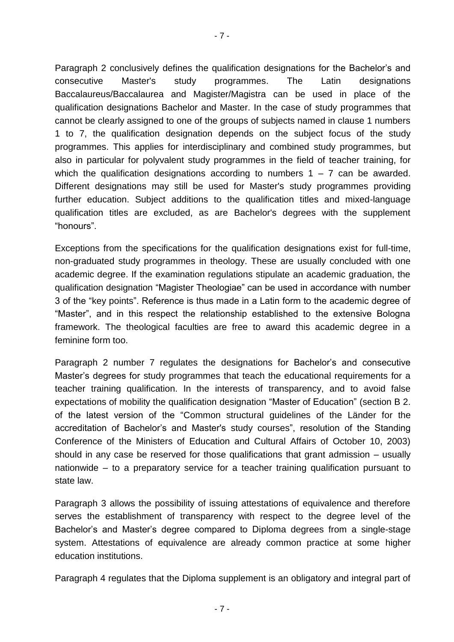- 7 -

Paragraph 2 conclusively defines the qualification designations for the Bachelor's and consecutive Master's study programmes. The Latin designations Baccalaureus/Baccalaurea and Magister/Magistra can be used in place of the qualification designations Bachelor and Master. In the case of study programmes that cannot be clearly assigned to one of the groups of subjects named in clause 1 numbers 1 to 7, the qualification designation depends on the subject focus of the study programmes. This applies for interdisciplinary and combined study programmes, but also in particular for polyvalent study programmes in the field of teacher training, for which the qualification designations according to numbers  $1 - 7$  can be awarded. Different designations may still be used for Master's study programmes providing further education. Subject additions to the qualification titles and mixed-language qualification titles are excluded, as are Bachelor's degrees with the supplement "honours".

Exceptions from the specifications for the qualification designations exist for full-time, non-graduated study programmes in theology. These are usually concluded with one academic degree. If the examination regulations stipulate an academic graduation, the qualification designation "Magister Theologiae" can be used in accordance with number 3 of the "key points". Reference is thus made in a Latin form to the academic degree of "Master", and in this respect the relationship established to the extensive Bologna framework. The theological faculties are free to award this academic degree in a feminine form too.

Paragraph 2 number 7 regulates the designations for Bachelor's and consecutive Master's degrees for study programmes that teach the educational requirements for a teacher training qualification. In the interests of transparency, and to avoid false expectations of mobility the qualification designation "Master of Education" (section B 2. of the latest version of the "Common structural guidelines of the Länder for the accreditation of Bachelor's and Master's study courses", resolution of the Standing Conference of the Ministers of Education and Cultural Affairs of October 10, 2003) should in any case be reserved for those qualifications that grant admission – usually nationwide – to a preparatory service for a teacher training qualification pursuant to state law.

Paragraph 3 allows the possibility of issuing attestations of equivalence and therefore serves the establishment of transparency with respect to the degree level of the Bachelor's and Master's degree compared to Diploma degrees from a single-stage system. Attestations of equivalence are already common practice at some higher education institutions.

Paragraph 4 regulates that the Diploma supplement is an obligatory and integral part of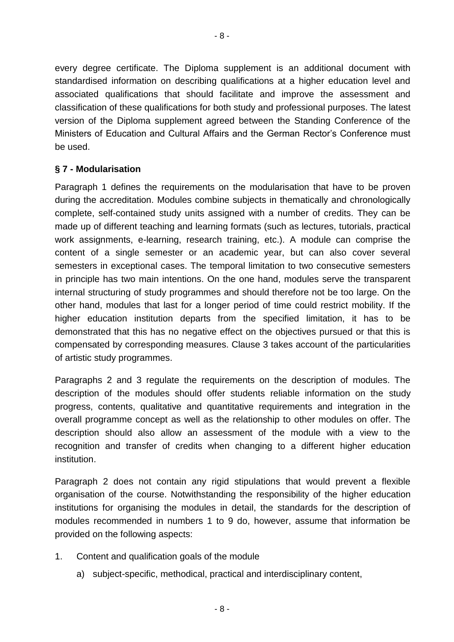every degree certificate. The Diploma supplement is an additional document with standardised information on describing qualifications at a higher education level and associated qualifications that should facilitate and improve the assessment and classification of these qualifications for both study and professional purposes. The latest version of the Diploma supplement agreed between the Standing Conference of the Ministers of Education and Cultural Affairs and the German Rector's Conference must be used.

#### **§ 7 - Modularisation**

Paragraph 1 defines the requirements on the modularisation that have to be proven during the accreditation. Modules combine subjects in thematically and chronologically complete, self-contained study units assigned with a number of credits. They can be made up of different teaching and learning formats (such as lectures, tutorials, practical work assignments, e-learning, research training, etc.). A module can comprise the content of a single semester or an academic year, but can also cover several semesters in exceptional cases. The temporal limitation to two consecutive semesters in principle has two main intentions. On the one hand, modules serve the transparent internal structuring of study programmes and should therefore not be too large. On the other hand, modules that last for a longer period of time could restrict mobility. If the higher education institution departs from the specified limitation, it has to be demonstrated that this has no negative effect on the objectives pursued or that this is compensated by corresponding measures. Clause 3 takes account of the particularities of artistic study programmes.

Paragraphs 2 and 3 regulate the requirements on the description of modules. The description of the modules should offer students reliable information on the study progress, contents, qualitative and quantitative requirements and integration in the overall programme concept as well as the relationship to other modules on offer. The description should also allow an assessment of the module with a view to the recognition and transfer of credits when changing to a different higher education institution.

Paragraph 2 does not contain any rigid stipulations that would prevent a flexible organisation of the course. Notwithstanding the responsibility of the higher education institutions for organising the modules in detail, the standards for the description of modules recommended in numbers 1 to 9 do, however, assume that information be provided on the following aspects:

- 1. Content and qualification goals of the module
	- a) subject-specific, methodical, practical and interdisciplinary content,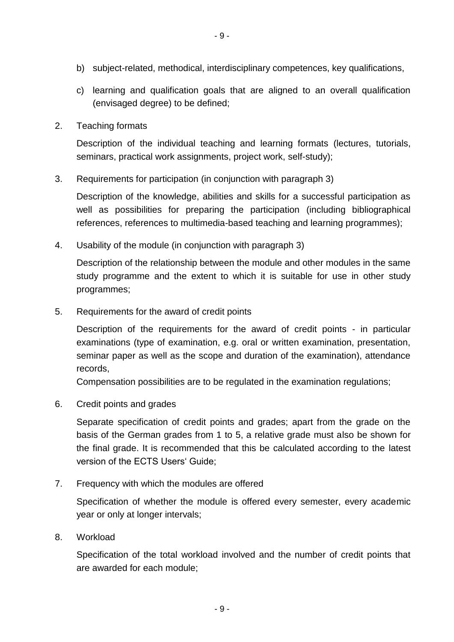- b) subject-related, methodical, interdisciplinary competences, key qualifications,
- c) learning and qualification goals that are aligned to an overall qualification (envisaged degree) to be defined;
- 2. Teaching formats

Description of the individual teaching and learning formats (lectures, tutorials, seminars, practical work assignments, project work, self-study);

3. Requirements for participation (in conjunction with paragraph 3)

Description of the knowledge, abilities and skills for a successful participation as well as possibilities for preparing the participation (including bibliographical references, references to multimedia-based teaching and learning programmes);

4. Usability of the module (in conjunction with paragraph 3)

Description of the relationship between the module and other modules in the same study programme and the extent to which it is suitable for use in other study programmes;

5. Requirements for the award of credit points

Description of the requirements for the award of credit points - in particular examinations (type of examination, e.g. oral or written examination, presentation, seminar paper as well as the scope and duration of the examination), attendance records,

Compensation possibilities are to be regulated in the examination regulations;

6. Credit points and grades

Separate specification of credit points and grades; apart from the grade on the basis of the German grades from 1 to 5, a relative grade must also be shown for the final grade. It is recommended that this be calculated according to the latest version of the ECTS Users' Guide;

7. Frequency with which the modules are offered

Specification of whether the module is offered every semester, every academic year or only at longer intervals;

8. Workload

Specification of the total workload involved and the number of credit points that are awarded for each module;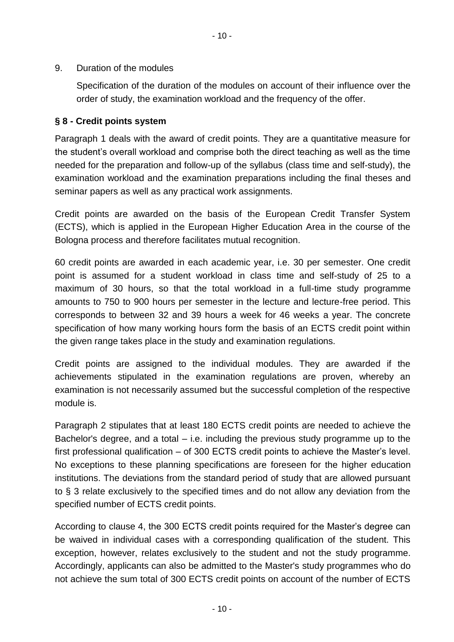9. Duration of the modules

Specification of the duration of the modules on account of their influence over the order of study, the examination workload and the frequency of the offer.

#### **§ 8 - Credit points system**

Paragraph 1 deals with the award of credit points. They are a quantitative measure for the student's overall workload and comprise both the direct teaching as well as the time needed for the preparation and follow-up of the syllabus (class time and self-study), the examination workload and the examination preparations including the final theses and seminar papers as well as any practical work assignments.

Credit points are awarded on the basis of the European Credit Transfer System (ECTS), which is applied in the European Higher Education Area in the course of the Bologna process and therefore facilitates mutual recognition.

60 credit points are awarded in each academic year, i.e. 30 per semester. One credit point is assumed for a student workload in class time and self-study of 25 to a maximum of 30 hours, so that the total workload in a full-time study programme amounts to 750 to 900 hours per semester in the lecture and lecture-free period. This corresponds to between 32 and 39 hours a week for 46 weeks a year. The concrete specification of how many working hours form the basis of an ECTS credit point within the given range takes place in the study and examination regulations.

Credit points are assigned to the individual modules. They are awarded if the achievements stipulated in the examination regulations are proven, whereby an examination is not necessarily assumed but the successful completion of the respective module is.

Paragraph 2 stipulates that at least 180 ECTS credit points are needed to achieve the Bachelor's degree, and a total  $-$  i.e. including the previous study programme up to the first professional qualification – of 300 ECTS credit points to achieve the Master's level. No exceptions to these planning specifications are foreseen for the higher education institutions. The deviations from the standard period of study that are allowed pursuant to § 3 relate exclusively to the specified times and do not allow any deviation from the specified number of ECTS credit points.

According to clause 4, the 300 ECTS credit points required for the Master's degree can be waived in individual cases with a corresponding qualification of the student. This exception, however, relates exclusively to the student and not the study programme. Accordingly, applicants can also be admitted to the Master's study programmes who do not achieve the sum total of 300 ECTS credit points on account of the number of ECTS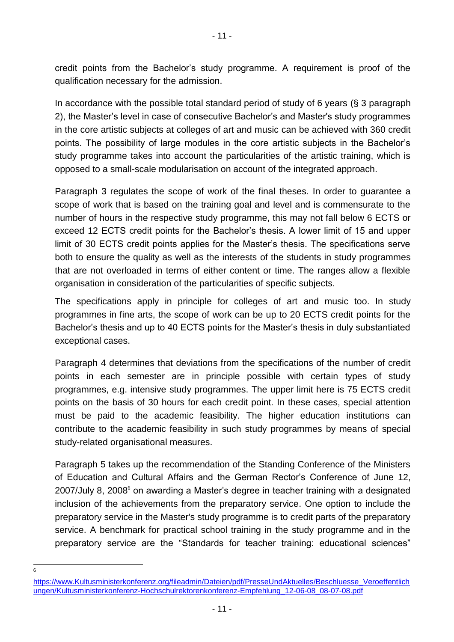credit points from the Bachelor's study programme. A requirement is proof of the qualification necessary for the admission.

- 11 -

In accordance with the possible total standard period of study of 6 years (§ 3 paragraph 2), the Master's level in case of consecutive Bachelor's and Master's study programmes in the core artistic subjects at colleges of art and music can be achieved with 360 credit points. The possibility of large modules in the core artistic subjects in the Bachelor's study programme takes into account the particularities of the artistic training, which is opposed to a small-scale modularisation on account of the integrated approach.

Paragraph 3 regulates the scope of work of the final theses. In order to guarantee a scope of work that is based on the training goal and level and is commensurate to the number of hours in the respective study programme, this may not fall below 6 ECTS or exceed 12 ECTS credit points for the Bachelor's thesis. A lower limit of 15 and upper limit of 30 ECTS credit points applies for the Master's thesis. The specifications serve both to ensure the quality as well as the interests of the students in study programmes that are not overloaded in terms of either content or time. The ranges allow a flexible organisation in consideration of the particularities of specific subjects.

The specifications apply in principle for colleges of art and music too. In study programmes in fine arts, the scope of work can be up to 20 ECTS credit points for the Bachelor's thesis and up to 40 ECTS points for the Master's thesis in duly substantiated exceptional cases.

Paragraph 4 determines that deviations from the specifications of the number of credit points in each semester are in principle possible with certain types of study programmes, e.g. intensive study programmes. The upper limit here is 75 ECTS credit points on the basis of 30 hours for each credit point. In these cases, special attention must be paid to the academic feasibility. The higher education institutions can contribute to the academic feasibility in such study programmes by means of special study-related organisational measures.

Paragraph 5 takes up the recommendation of the Standing Conference of the Ministers of Education and Cultural Affairs and the German Rector's Conference of June 12,  $2007/J$ uly 8,  $2008<sup>6</sup>$  on awarding a Master's degree in teacher training with a designated inclusion of the achievements from the preparatory service. One option to include the preparatory service in the Master's study programme is to credit parts of the preparatory service. A benchmark for practical school training in the study programme and in the preparatory service are the "Standards for teacher training: educational sciences"

—<br>6

[https://www.Kultusministerkonferenz.org/fileadmin/Dateien/pdf/PresseUndAktuelles/Beschluesse\\_Veroeffentlich](https://www.kultusministerkonferenz.org/fileadmin/Dateien/pdf/PresseUndAktuelles/Beschluesse_Veroeffentlichungen/Kultusministerkonferenz-Hochschulrektorenkonferenz-Empfehlung_12-06-08_08-07-08.pdf) ungen/Kultusministerkonferenz-Hochschulrektorenkonferenz-Empfehlung 12-06-08 08-07-08.pdf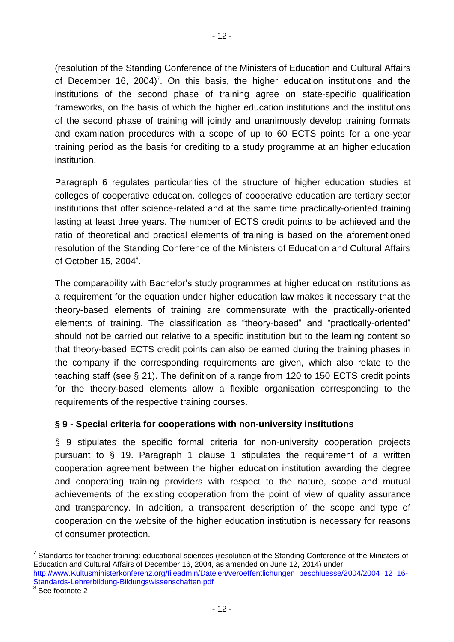(resolution of the Standing Conference of the Ministers of Education and Cultural Affairs of December 16, 2004)<sup>7</sup>. On this basis, the higher education institutions and the institutions of the second phase of training agree on state-specific qualification frameworks, on the basis of which the higher education institutions and the institutions of the second phase of training will jointly and unanimously develop training formats and examination procedures with a scope of up to 60 ECTS points for a one-year training period as the basis for crediting to a study programme at an higher education institution.

Paragraph 6 regulates particularities of the structure of higher education studies at colleges of cooperative education. colleges of cooperative education are tertiary sector institutions that offer science-related and at the same time practically-oriented training lasting at least three years. The number of ECTS credit points to be achieved and the ratio of theoretical and practical elements of training is based on the aforementioned resolution of the Standing Conference of the Ministers of Education and Cultural Affairs of October 15, 2004<sup>8</sup>.

The comparability with Bachelor's study programmes at higher education institutions as a requirement for the equation under higher education law makes it necessary that the theory-based elements of training are commensurate with the practically-oriented elements of training. The classification as "theory-based" and "practically-oriented" should not be carried out relative to a specific institution but to the learning content so that theory-based ECTS credit points can also be earned during the training phases in the company if the corresponding requirements are given, which also relate to the teaching staff (see § 21). The definition of a range from 120 to 150 ECTS credit points for the theory-based elements allow a flexible organisation corresponding to the requirements of the respective training courses.

## **§ 9 - Special criteria for cooperations with non-university institutions**

§ 9 stipulates the specific formal criteria for non-university cooperation projects pursuant to § 19. Paragraph 1 clause 1 stipulates the requirement of a written cooperation agreement between the higher education institution awarding the degree and cooperating training providers with respect to the nature, scope and mutual achievements of the existing cooperation from the point of view of quality assurance and transparency. In addition, a transparent description of the scope and type of cooperation on the website of the higher education institution is necessary for reasons of consumer protection.

 $\overline{a}$ 

<sup>7</sup> Standards for teacher training: educational sciences (resolution of the Standing Conference of the Ministers of Education and Cultural Affairs of December 16, 2004, as amended on June 12, 2014) under [http://www.Kultusministerkonferenz.org/fileadmin/Dateien/veroeffentlichungen\\_beschluesse/2004/2004\\_12\\_16-](http://www.kmk.org/fileadmin/Dateien/veroeffentlichungen_beschluesse/2004/2004_12_16-Standards-Lehrerbildung-Bildungswissenschaften.pdf) [Standards-Lehrerbildung-Bildungswissenschaften.pdf](http://www.kmk.org/fileadmin/Dateien/veroeffentlichungen_beschluesse/2004/2004_12_16-Standards-Lehrerbildung-Bildungswissenschaften.pdf)

<sup>8</sup> See footnote 2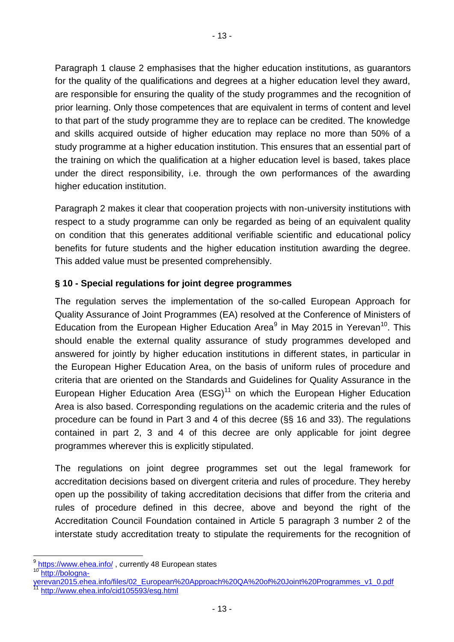Paragraph 1 clause 2 emphasises that the higher education institutions, as guarantors for the quality of the qualifications and degrees at a higher education level they award, are responsible for ensuring the quality of the study programmes and the recognition of prior learning. Only those competences that are equivalent in terms of content and level to that part of the study programme they are to replace can be credited. The knowledge and skills acquired outside of higher education may replace no more than 50% of a study programme at a higher education institution. This ensures that an essential part of the training on which the qualification at a higher education level is based, takes place under the direct responsibility, i.e. through the own performances of the awarding higher education institution.

Paragraph 2 makes it clear that cooperation projects with non-university institutions with respect to a study programme can only be regarded as being of an equivalent quality on condition that this generates additional verifiable scientific and educational policy benefits for future students and the higher education institution awarding the degree. This added value must be presented comprehensibly.

## **§ 10 - Special regulations for joint degree programmes**

The regulation serves the implementation of the so-called European Approach for Quality Assurance of Joint Programmes (EA) resolved at the Conference of Ministers of Education from the European Higher Education Area $9$  in May 2015 in Yerevan<sup>10</sup>. This should enable the external quality assurance of study programmes developed and answered for jointly by higher education institutions in different states, in particular in the European Higher Education Area, on the basis of uniform rules of procedure and criteria that are oriented on the Standards and Guidelines for Quality Assurance in the European Higher Education Area  $(ESS)^{11}$  on which the European Higher Education Area is also based. Corresponding regulations on the academic criteria and the rules of procedure can be found in Part 3 and 4 of this decree (§§ 16 and 33). The regulations contained in part 2, 3 and 4 of this decree are only applicable for joint degree programmes wherever this is explicitly stipulated.

The regulations on joint degree programmes set out the legal framework for accreditation decisions based on divergent criteria and rules of procedure. They hereby open up the possibility of taking accreditation decisions that differ from the criteria and rules of procedure defined in this decree, above and beyond the right of the Accreditation Council Foundation contained in Article 5 paragraph 3 number 2 of the interstate study accreditation treaty to stipulate the requirements for the recognition of

l

<sup>9</sup> <https://www.ehea.info/> , currently 48 European states [http://bologna-](http://bologna-yerevan2015.ehea.info/files/02_European%20Approach%20QA%20of%20Joint%20Programmes_v1_0.pdf)

werevan2015.ehea.info/files/02\_European%20Approach%20QA%20of%20Joint%20Programmes\_v1\_0.pdf <http://www.ehea.info/cid105593/esg.html>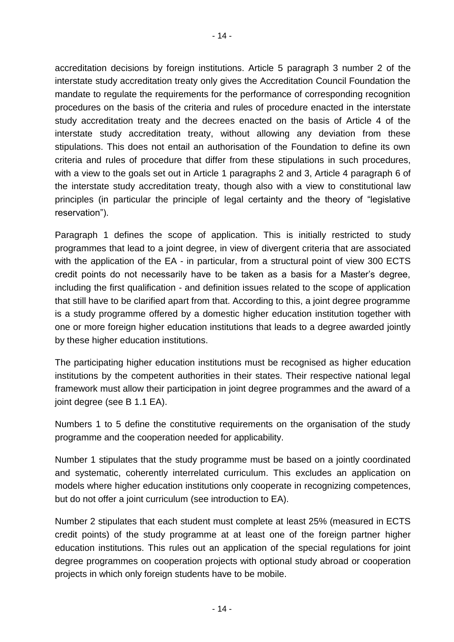accreditation decisions by foreign institutions. Article 5 paragraph 3 number 2 of the interstate study accreditation treaty only gives the Accreditation Council Foundation the mandate to regulate the requirements for the performance of corresponding recognition procedures on the basis of the criteria and rules of procedure enacted in the interstate study accreditation treaty and the decrees enacted on the basis of Article 4 of the interstate study accreditation treaty, without allowing any deviation from these stipulations. This does not entail an authorisation of the Foundation to define its own criteria and rules of procedure that differ from these stipulations in such procedures, with a view to the goals set out in Article 1 paragraphs 2 and 3, Article 4 paragraph 6 of the interstate study accreditation treaty, though also with a view to constitutional law principles (in particular the principle of legal certainty and the theory of "legislative reservation").

Paragraph 1 defines the scope of application. This is initially restricted to study programmes that lead to a joint degree, in view of divergent criteria that are associated with the application of the EA - in particular, from a structural point of view 300 ECTS credit points do not necessarily have to be taken as a basis for a Master's degree, including the first qualification - and definition issues related to the scope of application that still have to be clarified apart from that. According to this, a joint degree programme is a study programme offered by a domestic higher education institution together with one or more foreign higher education institutions that leads to a degree awarded jointly by these higher education institutions.

The participating higher education institutions must be recognised as higher education institutions by the competent authorities in their states. Their respective national legal framework must allow their participation in joint degree programmes and the award of a joint degree (see B 1.1 EA).

Numbers 1 to 5 define the constitutive requirements on the organisation of the study programme and the cooperation needed for applicability.

Number 1 stipulates that the study programme must be based on a jointly coordinated and systematic, coherently interrelated curriculum. This excludes an application on models where higher education institutions only cooperate in recognizing competences, but do not offer a joint curriculum (see introduction to EA).

Number 2 stipulates that each student must complete at least 25% (measured in ECTS credit points) of the study programme at at least one of the foreign partner higher education institutions. This rules out an application of the special regulations for joint degree programmes on cooperation projects with optional study abroad or cooperation projects in which only foreign students have to be mobile.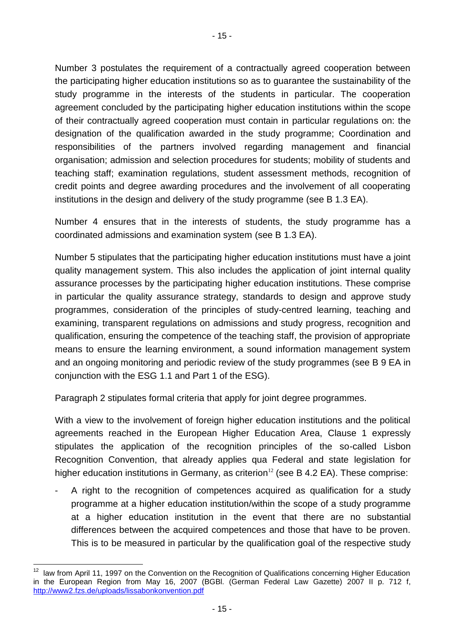Number 3 postulates the requirement of a contractually agreed cooperation between the participating higher education institutions so as to guarantee the sustainability of the study programme in the interests of the students in particular. The cooperation agreement concluded by the participating higher education institutions within the scope of their contractually agreed cooperation must contain in particular regulations on: the designation of the qualification awarded in the study programme; Coordination and responsibilities of the partners involved regarding management and financial organisation; admission and selection procedures for students; mobility of students and teaching staff; examination regulations, student assessment methods, recognition of credit points and degree awarding procedures and the involvement of all cooperating institutions in the design and delivery of the study programme (see B 1.3 EA).

Number 4 ensures that in the interests of students, the study programme has a coordinated admissions and examination system (see B 1.3 EA).

Number 5 stipulates that the participating higher education institutions must have a joint quality management system. This also includes the application of joint internal quality assurance processes by the participating higher education institutions. These comprise in particular the quality assurance strategy, standards to design and approve study programmes, consideration of the principles of study-centred learning, teaching and examining, transparent regulations on admissions and study progress, recognition and qualification, ensuring the competence of the teaching staff, the provision of appropriate means to ensure the learning environment, a sound information management system and an ongoing monitoring and periodic review of the study programmes (see B 9 EA in conjunction with the ESG 1.1 and Part 1 of the ESG).

Paragraph 2 stipulates formal criteria that apply for joint degree programmes.

With a view to the involvement of foreign higher education institutions and the political agreements reached in the European Higher Education Area, Clause 1 expressly stipulates the application of the recognition principles of the so-called Lisbon Recognition Convention, that already applies qua Federal and state legislation for higher education institutions in Germany, as criterion<sup>12</sup> (see B 4.2 EA). These comprise:

A right to the recognition of competences acquired as qualification for a study programme at a higher education institution/within the scope of a study programme at a higher education institution in the event that there are no substantial differences between the acquired competences and those that have to be proven. This is to be measured in particular by the qualification goal of the respective study

 $\frac{1}{12}$  law from April 11, 1997 on the Convention on the Recognition of Qualifications concerning Higher Education in the European Region from May 16, 2007 (BGBl. (German Federal Law Gazette) 2007 II p. 712 f, <http://www2.fzs.de/uploads/lissabonkonvention.pdf>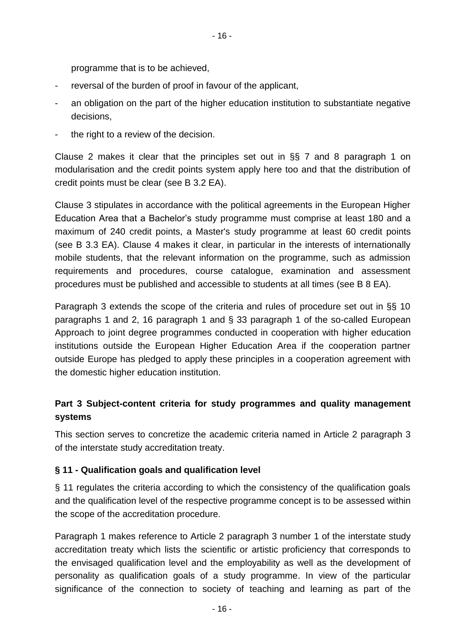programme that is to be achieved,

- reversal of the burden of proof in favour of the applicant,
- an obligation on the part of the higher education institution to substantiate negative decisions,
- the right to a review of the decision.

Clause 2 makes it clear that the principles set out in §§ 7 and 8 paragraph 1 on modularisation and the credit points system apply here too and that the distribution of credit points must be clear (see B 3.2 EA).

Clause 3 stipulates in accordance with the political agreements in the European Higher Education Area that a Bachelor's study programme must comprise at least 180 and a maximum of 240 credit points, a Master's study programme at least 60 credit points (see B 3.3 EA). Clause 4 makes it clear, in particular in the interests of internationally mobile students, that the relevant information on the programme, such as admission requirements and procedures, course catalogue, examination and assessment procedures must be published and accessible to students at all times (see B 8 EA).

Paragraph 3 extends the scope of the criteria and rules of procedure set out in §§ 10 paragraphs 1 and 2, 16 paragraph 1 and § 33 paragraph 1 of the so-called European Approach to joint degree programmes conducted in cooperation with higher education institutions outside the European Higher Education Area if the cooperation partner outside Europe has pledged to apply these principles in a cooperation agreement with the domestic higher education institution.

# **Part 3 Subject-content criteria for study programmes and quality management systems**

This section serves to concretize the academic criteria named in Article 2 paragraph 3 of the interstate study accreditation treaty.

### **§ 11 - Qualification goals and qualification level**

§ 11 regulates the criteria according to which the consistency of the qualification goals and the qualification level of the respective programme concept is to be assessed within the scope of the accreditation procedure.

Paragraph 1 makes reference to Article 2 paragraph 3 number 1 of the interstate study accreditation treaty which lists the scientific or artistic proficiency that corresponds to the envisaged qualification level and the employability as well as the development of personality as qualification goals of a study programme. In view of the particular significance of the connection to society of teaching and learning as part of the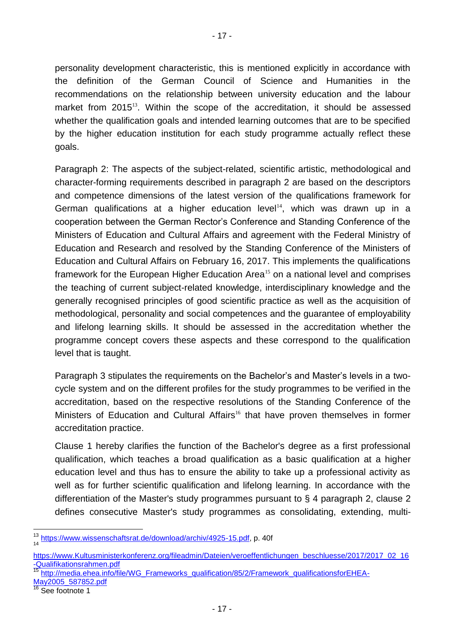personality development characteristic, this is mentioned explicitly in accordance with the definition of the German Council of Science and Humanities in the recommendations on the relationship between university education and the labour market from 2015<sup>13</sup>. Within the scope of the accreditation, it should be assessed whether the qualification goals and intended learning outcomes that are to be specified by the higher education institution for each study programme actually reflect these goals.

Paragraph 2: The aspects of the subject-related, scientific artistic, methodological and character-forming requirements described in paragraph 2 are based on the descriptors and competence dimensions of the latest version of the qualifications framework for German qualifications at a higher education level<sup>14</sup>, which was drawn up in a cooperation between the German Rector's Conference and Standing Conference of the Ministers of Education and Cultural Affairs and agreement with the Federal Ministry of Education and Research and resolved by the Standing Conference of the Ministers of Education and Cultural Affairs on February 16, 2017. This implements the qualifications framework for the European Higher Education Area<sup>15</sup> on a national level and comprises the teaching of current subject-related knowledge, interdisciplinary knowledge and the generally recognised principles of good scientific practice as well as the acquisition of methodological, personality and social competences and the guarantee of employability and lifelong learning skills. It should be assessed in the accreditation whether the programme concept covers these aspects and these correspond to the qualification level that is taught.

Paragraph 3 stipulates the requirements on the Bachelor's and Master's levels in a twocycle system and on the different profiles for the study programmes to be verified in the accreditation, based on the respective resolutions of the Standing Conference of the Ministers of Education and Cultural Affairs<sup>16</sup> that have proven themselves in former accreditation practice.

Clause 1 hereby clarifies the function of the Bachelor's degree as a first professional qualification, which teaches a broad qualification as a basic qualification at a higher education level and thus has to ensure the ability to take up a professional activity as well as for further scientific qualification and lifelong learning. In accordance with the differentiation of the Master's study programmes pursuant to § 4 paragraph 2, clause 2 defines consecutive Master's study programmes as consolidating, extending, multi-

<sup>13</sup> [https://www.wissenschaftsrat.de/download/archiv/4925-15.pdf,](https://www.wissenschaftsrat.de/download/archiv/4925-15.pdf) p. 40f 14

[https://www.Kultusministerkonferenz.org/fileadmin/Dateien/veroeffentlichungen\\_beschluesse/2017/2017\\_02\\_16](https://www.kmk.org/fileadmin/Dateien/veroeffentlichungen_beschluesse/2017/2017_02_16-Qualifikationsrahmen.pdf) [-Qualifikationsrahmen.pdf](https://www.kmk.org/fileadmin/Dateien/veroeffentlichungen_beschluesse/2017/2017_02_16-Qualifikationsrahmen.pdf)<br><sup>15</sup> + *m* = *m* 

[http://media.ehea.info/file/WG\\_Frameworks\\_qualification/85/2/Framework\\_qualificationsforEHEA-](http://media.ehea.info/file/WG_Frameworks_qualification/85/2/Framework_qualificationsforEHEA-May2005_587852.pdf)

[May2005\\_587852.pdf](http://media.ehea.info/file/WG_Frameworks_qualification/85/2/Framework_qualificationsforEHEA-May2005_587852.pdf)

See footnote 1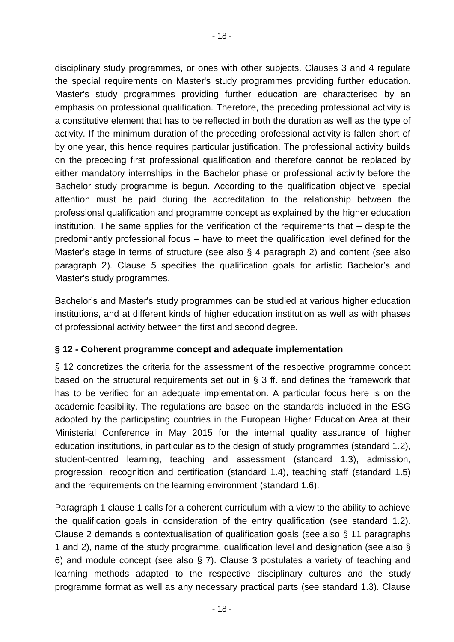disciplinary study programmes, or ones with other subjects. Clauses 3 and 4 regulate the special requirements on Master's study programmes providing further education. Master's study programmes providing further education are characterised by an emphasis on professional qualification. Therefore, the preceding professional activity is a constitutive element that has to be reflected in both the duration as well as the type of activity. If the minimum duration of the preceding professional activity is fallen short of by one year, this hence requires particular justification. The professional activity builds on the preceding first professional qualification and therefore cannot be replaced by either mandatory internships in the Bachelor phase or professional activity before the Bachelor study programme is begun. According to the qualification objective, special attention must be paid during the accreditation to the relationship between the professional qualification and programme concept as explained by the higher education institution. The same applies for the verification of the requirements that – despite the predominantly professional focus – have to meet the qualification level defined for the Master's stage in terms of structure (see also § 4 paragraph 2) and content (see also paragraph 2). Clause 5 specifies the qualification goals for artistic Bachelor's and Master's study programmes.

Bachelor's and Master's study programmes can be studied at various higher education institutions, and at different kinds of higher education institution as well as with phases of professional activity between the first and second degree.

## **§ 12 - Coherent programme concept and adequate implementation**

§ 12 concretizes the criteria for the assessment of the respective programme concept based on the structural requirements set out in § 3 ff. and defines the framework that has to be verified for an adequate implementation. A particular focus here is on the academic feasibility. The regulations are based on the standards included in the ESG adopted by the participating countries in the European Higher Education Area at their Ministerial Conference in May 2015 for the internal quality assurance of higher education institutions, in particular as to the design of study programmes (standard 1.2), student-centred learning, teaching and assessment (standard 1.3), admission, progression, recognition and certification (standard 1.4), teaching staff (standard 1.5) and the requirements on the learning environment (standard 1.6).

Paragraph 1 clause 1 calls for a coherent curriculum with a view to the ability to achieve the qualification goals in consideration of the entry qualification (see standard 1.2). Clause 2 demands a contextualisation of qualification goals (see also § 11 paragraphs 1 and 2), name of the study programme, qualification level and designation (see also § 6) and module concept (see also § 7). Clause 3 postulates a variety of teaching and learning methods adapted to the respective disciplinary cultures and the study programme format as well as any necessary practical parts (see standard 1.3). Clause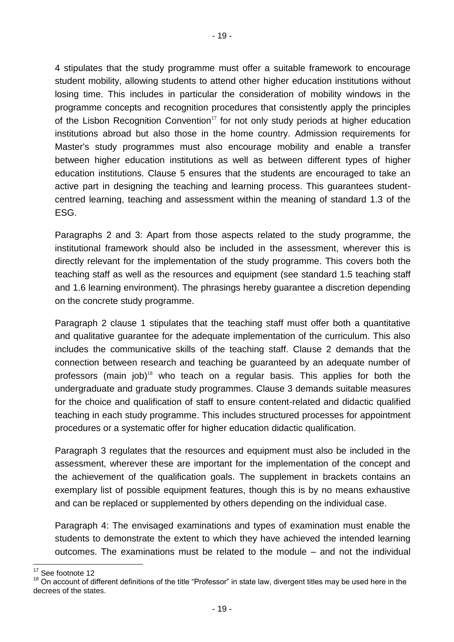4 stipulates that the study programme must offer a suitable framework to encourage student mobility, allowing students to attend other higher education institutions without losing time. This includes in particular the consideration of mobility windows in the programme concepts and recognition procedures that consistently apply the principles of the Lisbon Recognition Convention<sup>17</sup> for not only study periods at higher education institutions abroad but also those in the home country. Admission requirements for Master's study programmes must also encourage mobility and enable a transfer between higher education institutions as well as between different types of higher education institutions. Clause 5 ensures that the students are encouraged to take an active part in designing the teaching and learning process. This guarantees studentcentred learning, teaching and assessment within the meaning of standard 1.3 of the ESG.

Paragraphs 2 and 3: Apart from those aspects related to the study programme, the institutional framework should also be included in the assessment, wherever this is directly relevant for the implementation of the study programme. This covers both the teaching staff as well as the resources and equipment (see standard 1.5 teaching staff and 1.6 learning environment). The phrasings hereby guarantee a discretion depending on the concrete study programme.

Paragraph 2 clause 1 stipulates that the teaching staff must offer both a quantitative and qualitative guarantee for the adequate implementation of the curriculum. This also includes the communicative skills of the teaching staff. Clause 2 demands that the connection between research and teaching be guaranteed by an adequate number of professors (main  $job$ <sup>18</sup> who teach on a regular basis. This applies for both the undergraduate and graduate study programmes. Clause 3 demands suitable measures for the choice and qualification of staff to ensure content-related and didactic qualified teaching in each study programme. This includes structured processes for appointment procedures or a systematic offer for higher education didactic qualification.

Paragraph 3 regulates that the resources and equipment must also be included in the assessment, wherever these are important for the implementation of the concept and the achievement of the qualification goals. The supplement in brackets contains an exemplary list of possible equipment features, though this is by no means exhaustive and can be replaced or supplemented by others depending on the individual case.

Paragraph 4: The envisaged examinations and types of examination must enable the students to demonstrate the extent to which they have achieved the intended learning outcomes. The examinations must be related to the module – and not the individual

 $17$ See footnote 12

 $18$  On account of different definitions of the title "Professor" in state law, divergent titles may be used here in the decrees of the states.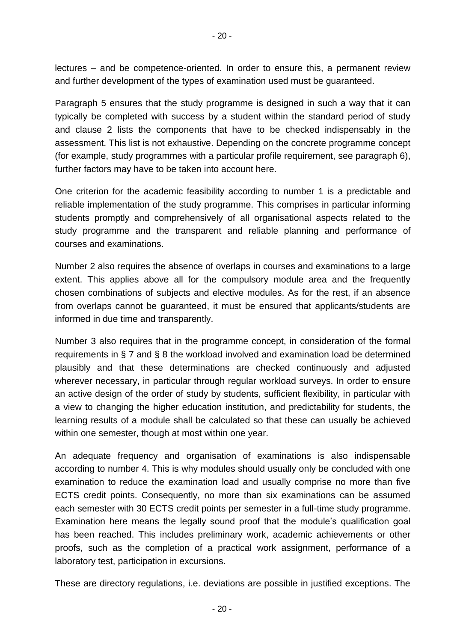lectures – and be competence-oriented. In order to ensure this, a permanent review and further development of the types of examination used must be guaranteed.

Paragraph 5 ensures that the study programme is designed in such a way that it can typically be completed with success by a student within the standard period of study and clause 2 lists the components that have to be checked indispensably in the assessment. This list is not exhaustive. Depending on the concrete programme concept (for example, study programmes with a particular profile requirement, see paragraph 6), further factors may have to be taken into account here.

One criterion for the academic feasibility according to number 1 is a predictable and reliable implementation of the study programme. This comprises in particular informing students promptly and comprehensively of all organisational aspects related to the study programme and the transparent and reliable planning and performance of courses and examinations.

Number 2 also requires the absence of overlaps in courses and examinations to a large extent. This applies above all for the compulsory module area and the frequently chosen combinations of subjects and elective modules. As for the rest, if an absence from overlaps cannot be guaranteed, it must be ensured that applicants/students are informed in due time and transparently.

Number 3 also requires that in the programme concept, in consideration of the formal requirements in § 7 and § 8 the workload involved and examination load be determined plausibly and that these determinations are checked continuously and adjusted wherever necessary, in particular through regular workload surveys. In order to ensure an active design of the order of study by students, sufficient flexibility, in particular with a view to changing the higher education institution, and predictability for students, the learning results of a module shall be calculated so that these can usually be achieved within one semester, though at most within one year.

An adequate frequency and organisation of examinations is also indispensable according to number 4. This is why modules should usually only be concluded with one examination to reduce the examination load and usually comprise no more than five ECTS credit points. Consequently, no more than six examinations can be assumed each semester with 30 ECTS credit points per semester in a full-time study programme. Examination here means the legally sound proof that the module's qualification goal has been reached. This includes preliminary work, academic achievements or other proofs, such as the completion of a practical work assignment, performance of a laboratory test, participation in excursions.

These are directory regulations, i.e. deviations are possible in justified exceptions. The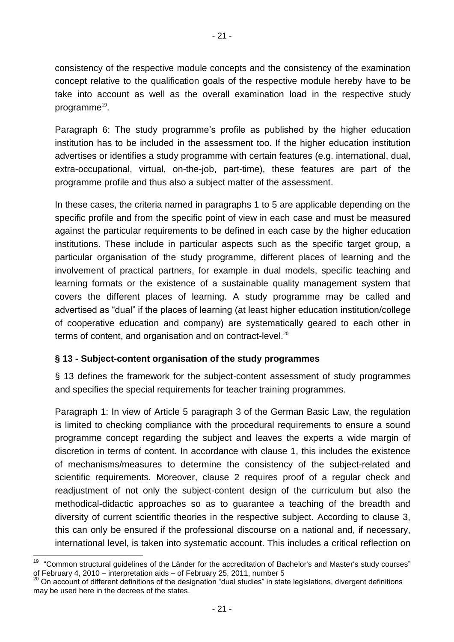- 21 -

consistency of the respective module concepts and the consistency of the examination concept relative to the qualification goals of the respective module hereby have to be take into account as well as the overall examination load in the respective study programme<sup>19</sup>.

Paragraph 6: The study programme's profile as published by the higher education institution has to be included in the assessment too. If the higher education institution advertises or identifies a study programme with certain features (e.g. international, dual, extra-occupational, virtual, on-the-job, part-time), these features are part of the programme profile and thus also a subject matter of the assessment.

In these cases, the criteria named in paragraphs 1 to 5 are applicable depending on the specific profile and from the specific point of view in each case and must be measured against the particular requirements to be defined in each case by the higher education institutions. These include in particular aspects such as the specific target group, a particular organisation of the study programme, different places of learning and the involvement of practical partners, for example in dual models, specific teaching and learning formats or the existence of a sustainable quality management system that covers the different places of learning. A study programme may be called and advertised as "dual" if the places of learning (at least higher education institution/college of cooperative education and company) are systematically geared to each other in terms of content, and organisation and on contract-level.<sup>20</sup>

## **§ 13 - Subject-content organisation of the study programmes**

§ 13 defines the framework for the subject-content assessment of study programmes and specifies the special requirements for teacher training programmes.

Paragraph 1: In view of Article 5 paragraph 3 of the German Basic Law, the regulation is limited to checking compliance with the procedural requirements to ensure a sound programme concept regarding the subject and leaves the experts a wide margin of discretion in terms of content. In accordance with clause 1, this includes the existence of mechanisms/measures to determine the consistency of the subject-related and scientific requirements. Moreover, clause 2 requires proof of a regular check and readjustment of not only the subject-content design of the curriculum but also the methodical-didactic approaches so as to guarantee a teaching of the breadth and diversity of current scientific theories in the respective subject. According to clause 3, this can only be ensured if the professional discourse on a national and, if necessary, international level, is taken into systematic account. This includes a critical reflection on

<sup>19</sup> <sup>19</sup> "Common structural guidelines of the Länder for the accreditation of Bachelor's and Master's study courses" of February 4, 2010 – interpretation aids – of February 25, 2011, number 5

 $^{20}$  On account of different definitions of the designation "dual studies" in state legislations, divergent definitions may be used here in the decrees of the states.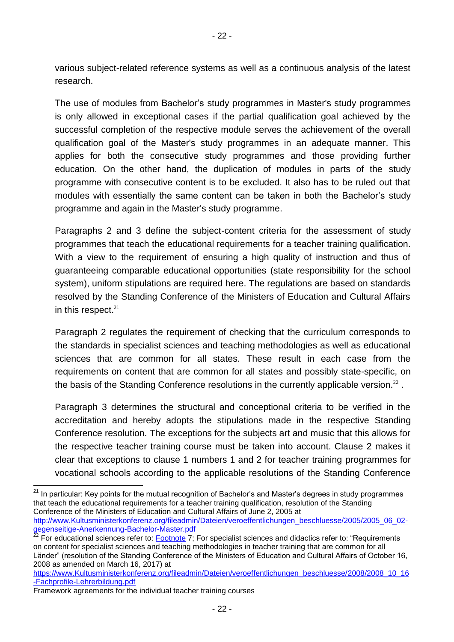various subject-related reference systems as well as a continuous analysis of the latest research.

The use of modules from Bachelor's study programmes in Master's study programmes is only allowed in exceptional cases if the partial qualification goal achieved by the successful completion of the respective module serves the achievement of the overall qualification goal of the Master's study programmes in an adequate manner. This applies for both the consecutive study programmes and those providing further education. On the other hand, the duplication of modules in parts of the study programme with consecutive content is to be excluded. It also has to be ruled out that modules with essentially the same content can be taken in both the Bachelor's study programme and again in the Master's study programme.

Paragraphs 2 and 3 define the subject-content criteria for the assessment of study programmes that teach the educational requirements for a teacher training qualification. With a view to the requirement of ensuring a high quality of instruction and thus of guaranteeing comparable educational opportunities (state responsibility for the school system), uniform stipulations are required here. The regulations are based on standards resolved by the Standing Conference of the Ministers of Education and Cultural Affairs in this respect. $21$ 

Paragraph 2 regulates the requirement of checking that the curriculum corresponds to the standards in specialist sciences and teaching methodologies as well as educational sciences that are common for all states. These result in each case from the requirements on content that are common for all states and possibly state-specific, on the basis of the Standing Conference resolutions in the currently applicable version. $^{22}$ .

Paragraph 3 determines the structural and conceptional criteria to be verified in the accreditation and hereby adopts the stipulations made in the respective Standing Conference resolution. The exceptions for the subjects art and music that this allows for the respective teacher training course must be taken into account. Clause 2 makes it clear that exceptions to clause 1 numbers 1 and 2 for teacher training programmes for vocational schools according to the applicable resolutions of the Standing Conference

[http://www.Kultusministerkonferenz.org/fileadmin/Dateien/veroeffentlichungen\\_beschluesse/2005/2005\\_06\\_02](http://www.kmk.org/fileadmin/Dateien/veroeffentlichungen_beschluesse/2005/2005_06_02-gegenseitige-Anerkennung-Bachelor-Master.pdf) [gegenseitige-Anerkennung-Bachelor-Master.pdf](http://www.kmk.org/fileadmin/Dateien/veroeffentlichungen_beschluesse/2005/2005_06_02-gegenseitige-Anerkennung-Bachelor-Master.pdf)

l <sup>21</sup> In particular: Key points for the mutual recognition of Bachelor's and Master's degrees in study programmes that teach the educational requirements for a teacher training qualification, resolution of the Standing Conference of the Ministers of Education and Cultural Affairs of June 2, 2005 at

 $^{22}$  For educational sciences refer to:  $\overline{\rm Footnote}$  $\overline{\rm Footnote}$  $\overline{\rm Footnote}$   $\overline{7}$ ; For specialist sciences and didactics refer to: "Requirements on content for specialist sciences and teaching methodologies in teacher training that are common for all Länder" (resolution of the Standing Conference of the Ministers of Education and Cultural Affairs of October 16, 2008 as amended on March 16, 2017) at

[https://www.Kultusministerkonferenz.org/fileadmin/Dateien/veroeffentlichungen\\_beschluesse/2008/2008\\_10\\_16](https://www.kmk.org/fileadmin/Dateien/veroeffentlichungen_beschluesse/2008/2008_10_16-Fachprofile-Lehrerbildung.pdf) [-Fachprofile-Lehrerbildung.pdf](https://www.kmk.org/fileadmin/Dateien/veroeffentlichungen_beschluesse/2008/2008_10_16-Fachprofile-Lehrerbildung.pdf)

Framework agreements for the individual teacher training courses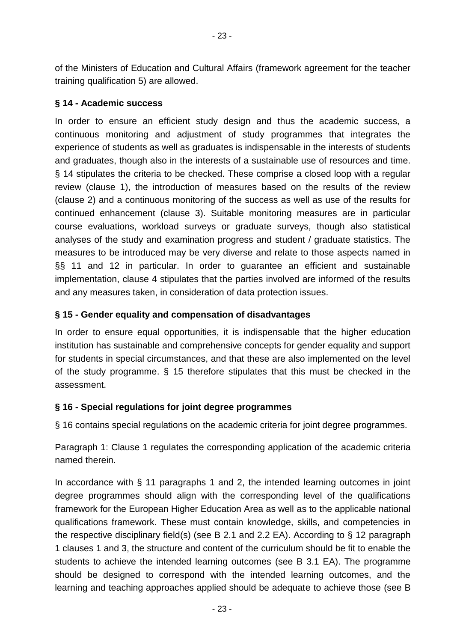of the Ministers of Education and Cultural Affairs (framework agreement for the teacher training qualification 5) are allowed.

### **§ 14 - Academic success**

In order to ensure an efficient study design and thus the academic success, a continuous monitoring and adjustment of study programmes that integrates the experience of students as well as graduates is indispensable in the interests of students and graduates, though also in the interests of a sustainable use of resources and time. § 14 stipulates the criteria to be checked. These comprise a closed loop with a regular review (clause 1), the introduction of measures based on the results of the review (clause 2) and a continuous monitoring of the success as well as use of the results for continued enhancement (clause 3). Suitable monitoring measures are in particular course evaluations, workload surveys or graduate surveys, though also statistical analyses of the study and examination progress and student / graduate statistics. The measures to be introduced may be very diverse and relate to those aspects named in §§ 11 and 12 in particular. In order to guarantee an efficient and sustainable implementation, clause 4 stipulates that the parties involved are informed of the results and any measures taken, in consideration of data protection issues.

### **§ 15 - Gender equality and compensation of disadvantages**

In order to ensure equal opportunities, it is indispensable that the higher education institution has sustainable and comprehensive concepts for gender equality and support for students in special circumstances, and that these are also implemented on the level of the study programme. § 15 therefore stipulates that this must be checked in the assessment.

### **§ 16 - Special regulations for joint degree programmes**

§ 16 contains special regulations on the academic criteria for joint degree programmes.

Paragraph 1: Clause 1 regulates the corresponding application of the academic criteria named therein.

In accordance with § 11 paragraphs 1 and 2, the intended learning outcomes in joint degree programmes should align with the corresponding level of the qualifications framework for the European Higher Education Area as well as to the applicable national qualifications framework. These must contain knowledge, skills, and competencies in the respective disciplinary field(s) (see B 2.1 and 2.2 EA). According to § 12 paragraph 1 clauses 1 and 3, the structure and content of the curriculum should be fit to enable the students to achieve the intended learning outcomes (see B 3.1 EA). The programme should be designed to correspond with the intended learning outcomes, and the learning and teaching approaches applied should be adequate to achieve those (see B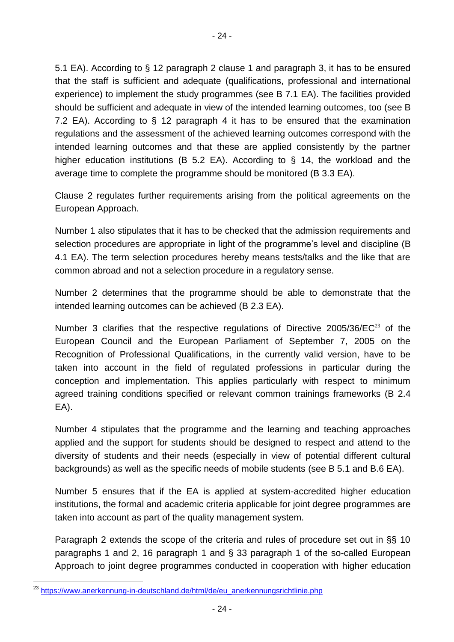5.1 EA). According to § 12 paragraph 2 clause 1 and paragraph 3, it has to be ensured that the staff is sufficient and adequate (qualifications, professional and international experience) to implement the study programmes (see B 7.1 EA). The facilities provided should be sufficient and adequate in view of the intended learning outcomes, too (see B 7.2 EA). According to § 12 paragraph 4 it has to be ensured that the examination regulations and the assessment of the achieved learning outcomes correspond with the intended learning outcomes and that these are applied consistently by the partner higher education institutions (B 5.2 EA). According to § 14, the workload and the average time to complete the programme should be monitored (B 3.3 EA).

Clause 2 regulates further requirements arising from the political agreements on the European Approach.

Number 1 also stipulates that it has to be checked that the admission requirements and selection procedures are appropriate in light of the programme's level and discipline (B 4.1 EA). The term selection procedures hereby means tests/talks and the like that are common abroad and not a selection procedure in a regulatory sense.

Number 2 determines that the programme should be able to demonstrate that the intended learning outcomes can be achieved (B 2.3 EA).

Number 3 clarifies that the respective regulations of Directive  $2005/36/EC^{23}$  of the European Council and the European Parliament of September 7, 2005 on the Recognition of Professional Qualifications, in the currently valid version, have to be taken into account in the field of regulated professions in particular during the conception and implementation. This applies particularly with respect to minimum agreed training conditions specified or relevant common trainings frameworks (B 2.4 EA).

Number 4 stipulates that the programme and the learning and teaching approaches applied and the support for students should be designed to respect and attend to the diversity of students and their needs (especially in view of potential different cultural backgrounds) as well as the specific needs of mobile students (see B 5.1 and B.6 EA).

Number 5 ensures that if the EA is applied at system-accredited higher education institutions, the formal and academic criteria applicable for joint degree programmes are taken into account as part of the quality management system.

Paragraph 2 extends the scope of the criteria and rules of procedure set out in §§ 10 paragraphs 1 and 2, 16 paragraph 1 and § 33 paragraph 1 of the so-called European Approach to joint degree programmes conducted in cooperation with higher education

l <sup>23</sup> [https://www.anerkennung-in-deutschland.de/html/de/eu\\_anerkennungsrichtlinie.php](https://www.anerkennung-in-deutschland.de/html/de/eu_anerkennungsrichtlinie.php)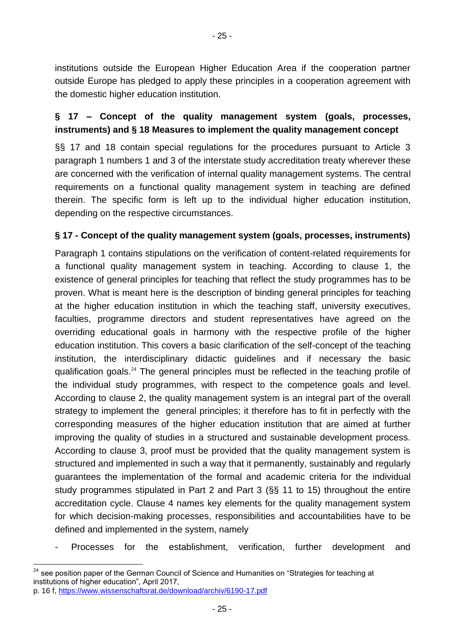institutions outside the European Higher Education Area if the cooperation partner outside Europe has pledged to apply these principles in a cooperation agreement with the domestic higher education institution.

## **§ 17 – Concept of the quality management system (goals, processes, instruments) and § 18 Measures to implement the quality management concept**

§§ 17 and 18 contain special regulations for the procedures pursuant to Article 3 paragraph 1 numbers 1 and 3 of the interstate study accreditation treaty wherever these are concerned with the verification of internal quality management systems. The central requirements on a functional quality management system in teaching are defined therein. The specific form is left up to the individual higher education institution, depending on the respective circumstances.

### **§ 17 - Concept of the quality management system (goals, processes, instruments)**

Paragraph 1 contains stipulations on the verification of content-related requirements for a functional quality management system in teaching. According to clause 1, the existence of general principles for teaching that reflect the study programmes has to be proven. What is meant here is the description of binding general principles for teaching at the higher education institution in which the teaching staff, university executives, faculties, programme directors and student representatives have agreed on the overriding educational goals in harmony with the respective profile of the higher education institution. This covers a basic clarification of the self-concept of the teaching institution, the interdisciplinary didactic guidelines and if necessary the basic qualification goals.<sup>24</sup> The general principles must be reflected in the teaching profile of the individual study programmes, with respect to the competence goals and level. According to clause 2, the quality management system is an integral part of the overall strategy to implement the general principles; it therefore has to fit in perfectly with the corresponding measures of the higher education institution that are aimed at further improving the quality of studies in a structured and sustainable development process. According to clause 3, proof must be provided that the quality management system is structured and implemented in such a way that it permanently, sustainably and regularly guarantees the implementation of the formal and academic criteria for the individual study programmes stipulated in Part 2 and Part 3 (§§ 11 to 15) throughout the entire accreditation cycle. Clause 4 names key elements for the quality management system for which decision-making processes, responsibilities and accountabilities have to be defined and implemented in the system, namely

- Processes for the establishment, verification, further development and

- 25 -

 $24$ see position paper of the German Council of Science and Humanities on "Strategies for teaching at institutions of higher education", April 2017,

p. 16 f,<https://www.wissenschaftsrat.de/download/archiv/6190-17.pdf>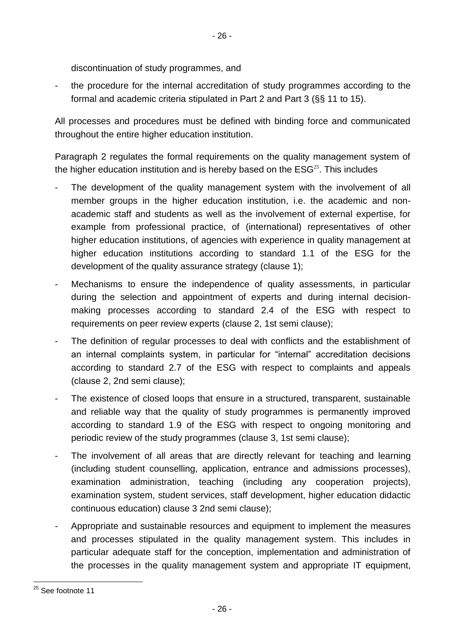discontinuation of study programmes, and

the procedure for the internal accreditation of study programmes according to the formal and academic criteria stipulated in Part 2 and Part 3 (§§ 11 to 15).

All processes and procedures must be defined with binding force and communicated throughout the entire higher education institution.

Paragraph 2 regulates the formal requirements on the quality management system of the higher education institution and is hereby based on the  $ESG<sup>25</sup>$ . This includes

- The development of the quality management system with the involvement of all member groups in the higher education institution, i.e. the academic and nonacademic staff and students as well as the involvement of external expertise, for example from professional practice, of (international) representatives of other higher education institutions, of agencies with experience in quality management at higher education institutions according to standard 1.1 of the ESG for the development of the quality assurance strategy (clause 1);
- Mechanisms to ensure the independence of quality assessments, in particular during the selection and appointment of experts and during internal decisionmaking processes according to standard 2.4 of the ESG with respect to requirements on peer review experts (clause 2, 1st semi clause);
- The definition of regular processes to deal with conflicts and the establishment of an internal complaints system, in particular for "internal" accreditation decisions according to standard 2.7 of the ESG with respect to complaints and appeals (clause 2, 2nd semi clause);
- The existence of closed loops that ensure in a structured, transparent, sustainable and reliable way that the quality of study programmes is permanently improved according to standard 1.9 of the ESG with respect to ongoing monitoring and periodic review of the study programmes (clause 3, 1st semi clause);
- The involvement of all areas that are directly relevant for teaching and learning (including student counselling, application, entrance and admissions processes), examination administration, teaching (including any cooperation projects), examination system, student services, staff development, higher education didactic continuous education) clause 3 2nd semi clause);
- Appropriate and sustainable resources and equipment to implement the measures and processes stipulated in the quality management system. This includes in particular adequate staff for the conception, implementation and administration of the processes in the quality management system and appropriate IT equipment,

l

<sup>&</sup>lt;sup>25</sup> See footnote 11

<sup>-</sup> 26 -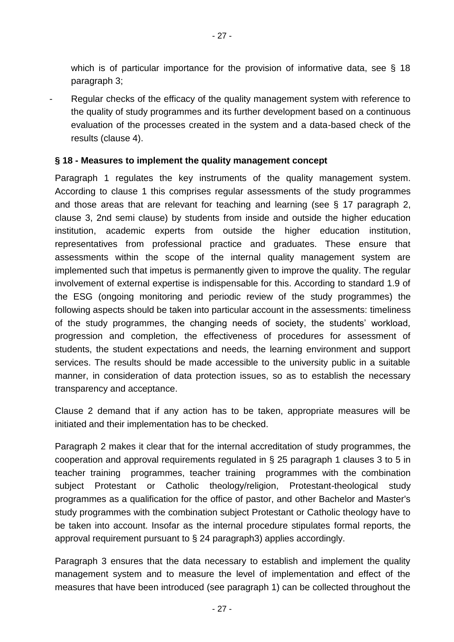which is of particular importance for the provision of informative data, see § 18 paragraph 3;

Regular checks of the efficacy of the quality management system with reference to the quality of study programmes and its further development based on a continuous evaluation of the processes created in the system and a data-based check of the results (clause 4).

#### **§ 18 - Measures to implement the quality management concept**

Paragraph 1 regulates the key instruments of the quality management system. According to clause 1 this comprises regular assessments of the study programmes and those areas that are relevant for teaching and learning (see § 17 paragraph 2, clause 3, 2nd semi clause) by students from inside and outside the higher education institution, academic experts from outside the higher education institution, representatives from professional practice and graduates. These ensure that assessments within the scope of the internal quality management system are implemented such that impetus is permanently given to improve the quality. The regular involvement of external expertise is indispensable for this. According to standard 1.9 of the ESG (ongoing monitoring and periodic review of the study programmes) the following aspects should be taken into particular account in the assessments: timeliness of the study programmes, the changing needs of society, the students' workload, progression and completion, the effectiveness of procedures for assessment of students, the student expectations and needs, the learning environment and support services. The results should be made accessible to the university public in a suitable manner, in consideration of data protection issues, so as to establish the necessary transparency and acceptance.

Clause 2 demand that if any action has to be taken, appropriate measures will be initiated and their implementation has to be checked.

Paragraph 2 makes it clear that for the internal accreditation of study programmes, the cooperation and approval requirements regulated in § 25 paragraph 1 clauses 3 to 5 in teacher training programmes, teacher training programmes with the combination subject Protestant or Catholic theology/religion, Protestant-theological study programmes as a qualification for the office of pastor, and other Bachelor and Master's study programmes with the combination subject Protestant or Catholic theology have to be taken into account. Insofar as the internal procedure stipulates formal reports, the approval requirement pursuant to  $\S$  24 paragraph3) applies accordingly.

Paragraph 3 ensures that the data necessary to establish and implement the quality management system and to measure the level of implementation and effect of the measures that have been introduced (see paragraph 1) can be collected throughout the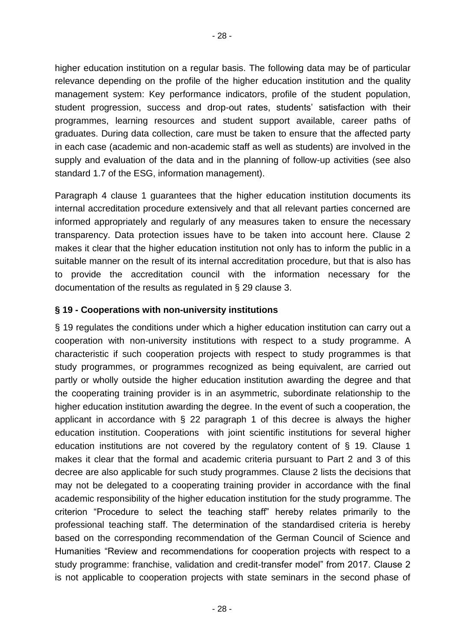higher education institution on a regular basis. The following data may be of particular relevance depending on the profile of the higher education institution and the quality management system: Key performance indicators, profile of the student population, student progression, success and drop-out rates, students' satisfaction with their programmes, learning resources and student support available, career paths of graduates. During data collection, care must be taken to ensure that the affected party in each case (academic and non-academic staff as well as students) are involved in the supply and evaluation of the data and in the planning of follow-up activities (see also standard 1.7 of the ESG, information management).

Paragraph 4 clause 1 guarantees that the higher education institution documents its internal accreditation procedure extensively and that all relevant parties concerned are informed appropriately and regularly of any measures taken to ensure the necessary transparency. Data protection issues have to be taken into account here. Clause 2 makes it clear that the higher education institution not only has to inform the public in a suitable manner on the result of its internal accreditation procedure, but that is also has to provide the accreditation council with the information necessary for the documentation of the results as regulated in § 29 clause 3.

### **§ 19 - Cooperations with non-university institutions**

§ 19 regulates the conditions under which a higher education institution can carry out a cooperation with non-university institutions with respect to a study programme. A characteristic if such cooperation projects with respect to study programmes is that study programmes, or programmes recognized as being equivalent, are carried out partly or wholly outside the higher education institution awarding the degree and that the cooperating training provider is in an asymmetric, subordinate relationship to the higher education institution awarding the degree. In the event of such a cooperation, the applicant in accordance with § 22 paragraph 1 of this decree is always the higher education institution. Cooperations with joint scientific institutions for several higher education institutions are not covered by the regulatory content of § 19. Clause 1 makes it clear that the formal and academic criteria pursuant to Part 2 and 3 of this decree are also applicable for such study programmes. Clause 2 lists the decisions that may not be delegated to a cooperating training provider in accordance with the final academic responsibility of the higher education institution for the study programme. The criterion "Procedure to select the teaching staff" hereby relates primarily to the professional teaching staff. The determination of the standardised criteria is hereby based on the corresponding recommendation of the German Council of Science and Humanities "Review and recommendations for cooperation projects with respect to a study programme: franchise, validation and credit-transfer model" from 2017. Clause 2 is not applicable to cooperation projects with state seminars in the second phase of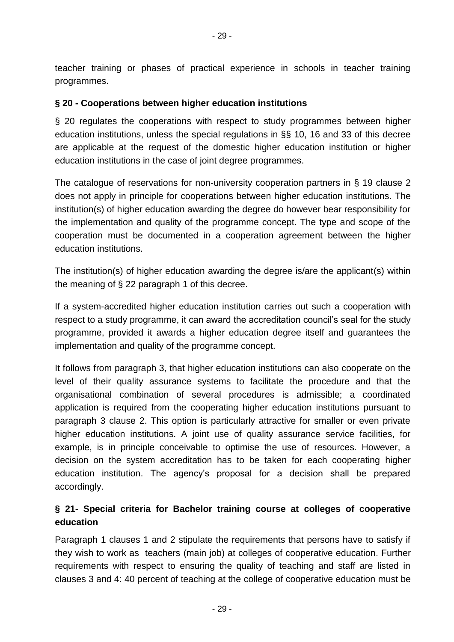teacher training or phases of practical experience in schools in teacher training programmes.

### **§ 20 - Cooperations between higher education institutions**

§ 20 regulates the cooperations with respect to study programmes between higher education institutions, unless the special regulations in §§ 10, 16 and 33 of this decree are applicable at the request of the domestic higher education institution or higher education institutions in the case of joint degree programmes.

The catalogue of reservations for non-university cooperation partners in § 19 clause 2 does not apply in principle for cooperations between higher education institutions. The institution(s) of higher education awarding the degree do however bear responsibility for the implementation and quality of the programme concept. The type and scope of the cooperation must be documented in a cooperation agreement between the higher education institutions.

The institution(s) of higher education awarding the degree is/are the applicant(s) within the meaning of  $\S 22$  paragraph 1 of this decree.

If a system-accredited higher education institution carries out such a cooperation with respect to a study programme, it can award the accreditation council's seal for the study programme, provided it awards a higher education degree itself and guarantees the implementation and quality of the programme concept.

It follows from paragraph 3, that higher education institutions can also cooperate on the level of their quality assurance systems to facilitate the procedure and that the organisational combination of several procedures is admissible; a coordinated application is required from the cooperating higher education institutions pursuant to paragraph 3 clause 2. This option is particularly attractive for smaller or even private higher education institutions. A joint use of quality assurance service facilities, for example, is in principle conceivable to optimise the use of resources. However, a decision on the system accreditation has to be taken for each cooperating higher education institution. The agency's proposal for a decision shall be prepared accordingly.

## **§ 21- Special criteria for Bachelor training course at colleges of cooperative education**

Paragraph 1 clauses 1 and 2 stipulate the requirements that persons have to satisfy if they wish to work as teachers (main job) at colleges of cooperative education. Further requirements with respect to ensuring the quality of teaching and staff are listed in clauses 3 and 4: 40 percent of teaching at the college of cooperative education must be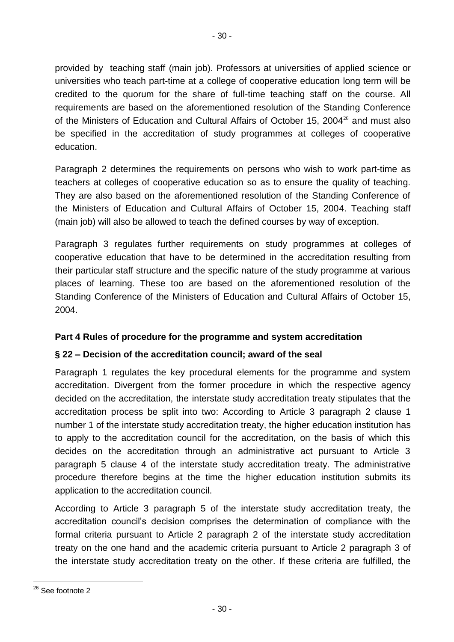provided by teaching staff (main job). Professors at universities of applied science or universities who teach part-time at a college of cooperative education long term will be credited to the quorum for the share of full-time teaching staff on the course. All requirements are based on the aforementioned resolution of the Standing Conference of the Ministers of Education and Cultural Affairs of October 15, 2004 $^{26}$  and must also be specified in the accreditation of study programmes at colleges of cooperative education.

Paragraph 2 determines the requirements on persons who wish to work part-time as teachers at colleges of cooperative education so as to ensure the quality of teaching. They are also based on the aforementioned resolution of the Standing Conference of the Ministers of Education and Cultural Affairs of October 15, 2004. Teaching staff (main job) will also be allowed to teach the defined courses by way of exception.

Paragraph 3 regulates further requirements on study programmes at colleges of cooperative education that have to be determined in the accreditation resulting from their particular staff structure and the specific nature of the study programme at various places of learning. These too are based on the aforementioned resolution of the Standing Conference of the Ministers of Education and Cultural Affairs of October 15, 2004.

## **Part 4 Rules of procedure for the programme and system accreditation**

## **§ 22 – Decision of the accreditation council; award of the seal**

Paragraph 1 regulates the key procedural elements for the programme and system accreditation. Divergent from the former procedure in which the respective agency decided on the accreditation, the interstate study accreditation treaty stipulates that the accreditation process be split into two: According to Article 3 paragraph 2 clause 1 number 1 of the interstate study accreditation treaty, the higher education institution has to apply to the accreditation council for the accreditation, on the basis of which this decides on the accreditation through an administrative act pursuant to Article 3 paragraph 5 clause 4 of the interstate study accreditation treaty. The administrative procedure therefore begins at the time the higher education institution submits its application to the accreditation council.

According to Article 3 paragraph 5 of the interstate study accreditation treaty, the accreditation council's decision comprises the determination of compliance with the formal criteria pursuant to Article 2 paragraph 2 of the interstate study accreditation treaty on the one hand and the academic criteria pursuant to Article 2 paragraph 3 of the interstate study accreditation treaty on the other. If these criteria are fulfilled, the

l <sup>26</sup> See footnote 2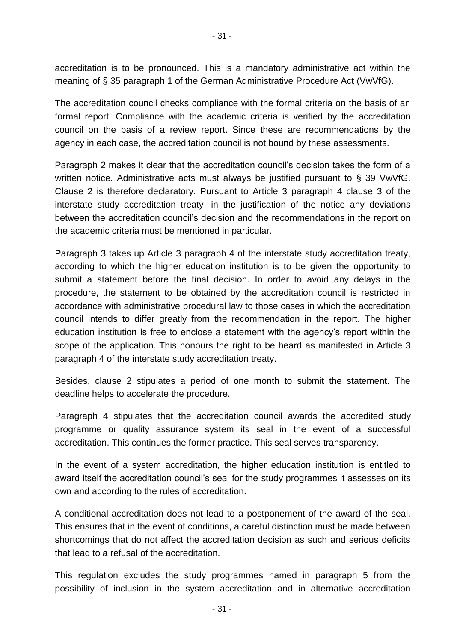accreditation is to be pronounced. This is a mandatory administrative act within the meaning of § 35 paragraph 1 of the German Administrative Procedure Act (VwVfG).

The accreditation council checks compliance with the formal criteria on the basis of an formal report. Compliance with the academic criteria is verified by the accreditation council on the basis of a review report. Since these are recommendations by the agency in each case, the accreditation council is not bound by these assessments.

Paragraph 2 makes it clear that the accreditation council's decision takes the form of a written notice. Administrative acts must always be justified pursuant to § 39 VwVfG. Clause 2 is therefore declaratory. Pursuant to Article 3 paragraph 4 clause 3 of the interstate study accreditation treaty, in the justification of the notice any deviations between the accreditation council's decision and the recommendations in the report on the academic criteria must be mentioned in particular.

Paragraph 3 takes up Article 3 paragraph 4 of the interstate study accreditation treaty, according to which the higher education institution is to be given the opportunity to submit a statement before the final decision. In order to avoid any delays in the procedure, the statement to be obtained by the accreditation council is restricted in accordance with administrative procedural law to those cases in which the accreditation council intends to differ greatly from the recommendation in the report. The higher education institution is free to enclose a statement with the agency's report within the scope of the application. This honours the right to be heard as manifested in Article 3 paragraph 4 of the interstate study accreditation treaty.

Besides, clause 2 stipulates a period of one month to submit the statement. The deadline helps to accelerate the procedure.

Paragraph 4 stipulates that the accreditation council awards the accredited study programme or quality assurance system its seal in the event of a successful accreditation. This continues the former practice. This seal serves transparency.

In the event of a system accreditation, the higher education institution is entitled to award itself the accreditation council's seal for the study programmes it assesses on its own and according to the rules of accreditation.

A conditional accreditation does not lead to a postponement of the award of the seal. This ensures that in the event of conditions, a careful distinction must be made between shortcomings that do not affect the accreditation decision as such and serious deficits that lead to a refusal of the accreditation.

This regulation excludes the study programmes named in paragraph 5 from the possibility of inclusion in the system accreditation and in alternative accreditation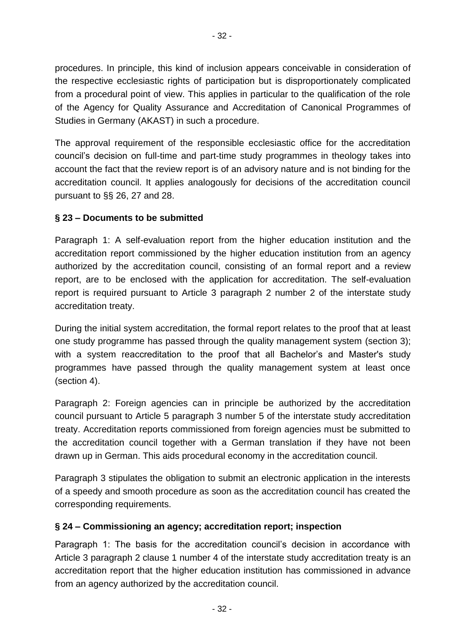procedures. In principle, this kind of inclusion appears conceivable in consideration of the respective ecclesiastic rights of participation but is disproportionately complicated from a procedural point of view. This applies in particular to the qualification of the role of the Agency for Quality Assurance and Accreditation of Canonical Programmes of Studies in Germany (AKAST) in such a procedure.

The approval requirement of the responsible ecclesiastic office for the accreditation council's decision on full-time and part-time study programmes in theology takes into account the fact that the review report is of an advisory nature and is not binding for the accreditation council. It applies analogously for decisions of the accreditation council pursuant to §§ 26, 27 and 28.

## **§ 23 – Documents to be submitted**

Paragraph 1: A self-evaluation report from the higher education institution and the accreditation report commissioned by the higher education institution from an agency authorized by the accreditation council, consisting of an formal report and a review report, are to be enclosed with the application for accreditation. The self-evaluation report is required pursuant to Article 3 paragraph 2 number 2 of the interstate study accreditation treaty.

During the initial system accreditation, the formal report relates to the proof that at least one study programme has passed through the quality management system (section 3); with a system reaccreditation to the proof that all Bachelor's and Master's study programmes have passed through the quality management system at least once (section 4).

Paragraph 2: Foreign agencies can in principle be authorized by the accreditation council pursuant to Article 5 paragraph 3 number 5 of the interstate study accreditation treaty. Accreditation reports commissioned from foreign agencies must be submitted to the accreditation council together with a German translation if they have not been drawn up in German. This aids procedural economy in the accreditation council.

Paragraph 3 stipulates the obligation to submit an electronic application in the interests of a speedy and smooth procedure as soon as the accreditation council has created the corresponding requirements.

### **§ 24 – Commissioning an agency; accreditation report; inspection**

Paragraph 1: The basis for the accreditation council's decision in accordance with Article 3 paragraph 2 clause 1 number 4 of the interstate study accreditation treaty is an accreditation report that the higher education institution has commissioned in advance from an agency authorized by the accreditation council.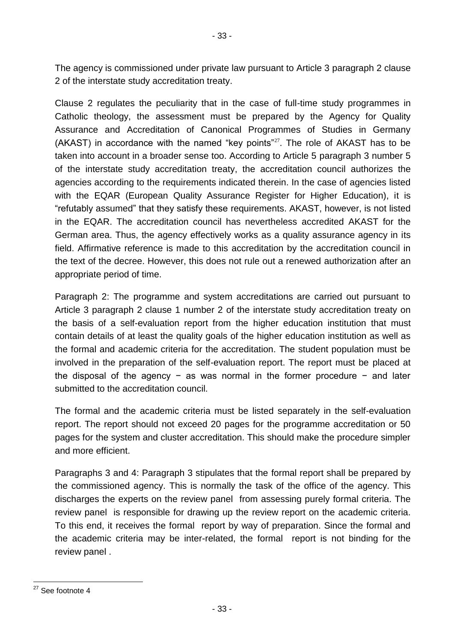The agency is commissioned under private law pursuant to Article 3 paragraph 2 clause 2 of the interstate study accreditation treaty.

Clause 2 regulates the peculiarity that in the case of full-time study programmes in Catholic theology, the assessment must be prepared by the Agency for Quality Assurance and Accreditation of Canonical Programmes of Studies in Germany  $(AKAST)$  in accordance with the named "key points"<sup>27</sup>. The role of  $AKAST$  has to be taken into account in a broader sense too. According to Article 5 paragraph 3 number 5 of the interstate study accreditation treaty, the accreditation council authorizes the agencies according to the requirements indicated therein. In the case of agencies listed with the EQAR (European Quality Assurance Register for Higher Education), it is "refutably assumed" that they satisfy these requirements. AKAST, however, is not listed in the EQAR. The accreditation council has nevertheless accredited AKAST for the German area. Thus, the agency effectively works as a quality assurance agency in its field. Affirmative reference is made to this accreditation by the accreditation council in the text of the decree. However, this does not rule out a renewed authorization after an appropriate period of time.

Paragraph 2: The programme and system accreditations are carried out pursuant to Article 3 paragraph 2 clause 1 number 2 of the interstate study accreditation treaty on the basis of a self-evaluation report from the higher education institution that must contain details of at least the quality goals of the higher education institution as well as the formal and academic criteria for the accreditation. The student population must be involved in the preparation of the self-evaluation report. The report must be placed at the disposal of the agency − as was normal in the former procedure − and later submitted to the accreditation council.

The formal and the academic criteria must be listed separately in the self-evaluation report. The report should not exceed 20 pages for the programme accreditation or 50 pages for the system and cluster accreditation. This should make the procedure simpler and more efficient.

Paragraphs 3 and 4: Paragraph 3 stipulates that the formal report shall be prepared by the commissioned agency. This is normally the task of the office of the agency. This discharges the experts on the review panel from assessing purely formal criteria. The review panel is responsible for drawing up the review report on the academic criteria. To this end, it receives the formal report by way of preparation. Since the formal and the academic criteria may be inter-related, the formal report is not binding for the review panel .

l <sup>27</sup> See footnote 4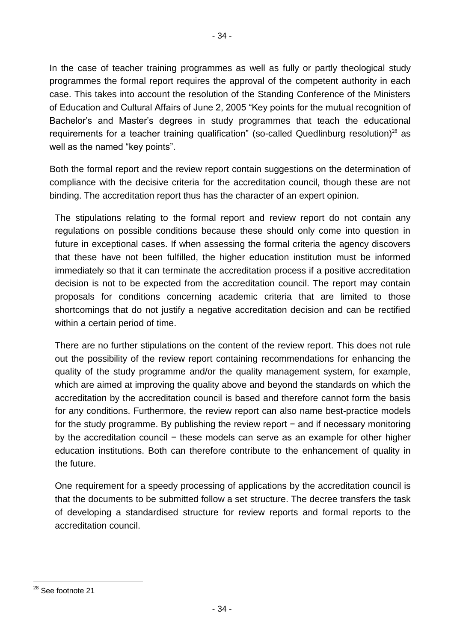In the case of teacher training programmes as well as fully or partly theological study programmes the formal report requires the approval of the competent authority in each case. This takes into account the resolution of the Standing Conference of the Ministers of Education and Cultural Affairs of June 2, 2005 "Key points for the mutual recognition of Bachelor's and Master's degrees in study programmes that teach the educational requirements for a teacher training qualification" (so-called Quedlinburg resolution)<sup>28</sup> as well as the named "key points".

Both the formal report and the review report contain suggestions on the determination of compliance with the decisive criteria for the accreditation council, though these are not binding. The accreditation report thus has the character of an expert opinion.

The stipulations relating to the formal report and review report do not contain any regulations on possible conditions because these should only come into question in future in exceptional cases. If when assessing the formal criteria the agency discovers that these have not been fulfilled, the higher education institution must be informed immediately so that it can terminate the accreditation process if a positive accreditation decision is not to be expected from the accreditation council. The report may contain proposals for conditions concerning academic criteria that are limited to those shortcomings that do not justify a negative accreditation decision and can be rectified within a certain period of time.

There are no further stipulations on the content of the review report. This does not rule out the possibility of the review report containing recommendations for enhancing the quality of the study programme and/or the quality management system, for example, which are aimed at improving the quality above and beyond the standards on which the accreditation by the accreditation council is based and therefore cannot form the basis for any conditions. Furthermore, the review report can also name best-practice models for the study programme. By publishing the review report – and if necessary monitoring by the accreditation council − these models can serve as an example for other higher education institutions. Both can therefore contribute to the enhancement of quality in the future.

One requirement for a speedy processing of applications by the accreditation council is that the documents to be submitted follow a set structure. The decree transfers the task of developing a standardised structure for review reports and formal reports to the accreditation council.

l <sup>28</sup> See footnote 21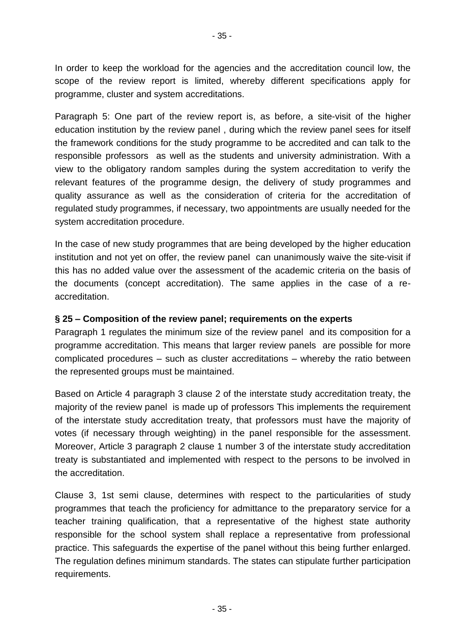In order to keep the workload for the agencies and the accreditation council low, the scope of the review report is limited, whereby different specifications apply for programme, cluster and system accreditations.

Paragraph 5: One part of the review report is, as before, a site-visit of the higher education institution by the review panel , during which the review panel sees for itself the framework conditions for the study programme to be accredited and can talk to the responsible professors as well as the students and university administration. With a view to the obligatory random samples during the system accreditation to verify the relevant features of the programme design, the delivery of study programmes and quality assurance as well as the consideration of criteria for the accreditation of regulated study programmes, if necessary, two appointments are usually needed for the system accreditation procedure.

In the case of new study programmes that are being developed by the higher education institution and not yet on offer, the review panel can unanimously waive the site-visit if this has no added value over the assessment of the academic criteria on the basis of the documents (concept accreditation). The same applies in the case of a reaccreditation.

### **§ 25 – Composition of the review panel; requirements on the experts**

Paragraph 1 regulates the minimum size of the review panel and its composition for a programme accreditation. This means that larger review panels are possible for more complicated procedures – such as cluster accreditations – whereby the ratio between the represented groups must be maintained.

Based on Article 4 paragraph 3 clause 2 of the interstate study accreditation treaty, the majority of the review panel is made up of professors This implements the requirement of the interstate study accreditation treaty, that professors must have the majority of votes (if necessary through weighting) in the panel responsible for the assessment. Moreover, Article 3 paragraph 2 clause 1 number 3 of the interstate study accreditation treaty is substantiated and implemented with respect to the persons to be involved in the accreditation.

Clause 3, 1st semi clause, determines with respect to the particularities of study programmes that teach the proficiency for admittance to the preparatory service for a teacher training qualification, that a representative of the highest state authority responsible for the school system shall replace a representative from professional practice. This safeguards the expertise of the panel without this being further enlarged. The regulation defines minimum standards. The states can stipulate further participation requirements.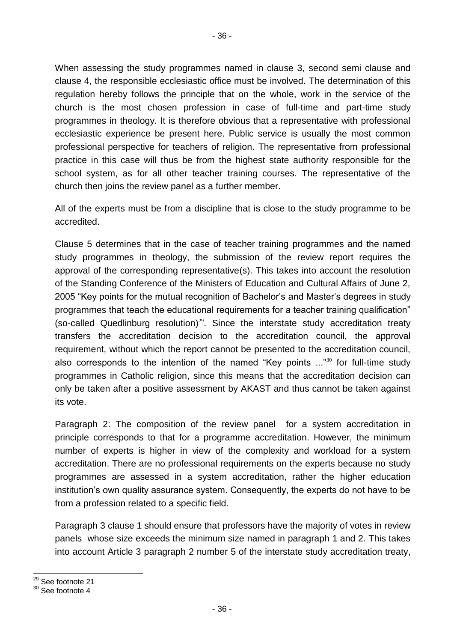When assessing the study programmes named in clause 3, second semi clause and clause 4, the responsible ecclesiastic office must be involved. The determination of this regulation hereby follows the principle that on the whole, work in the service of the church is the most chosen profession in case of full-time and part-time study programmes in theology. It is therefore obvious that a representative with professional ecclesiastic experience be present here. Public service is usually the most common professional perspective for teachers of religion. The representative from professional practice in this case will thus be from the highest state authority responsible for the school system, as for all other teacher training courses. The representative of the church then joins the review panel as a further member.

All of the experts must be from a discipline that is close to the study programme to be accredited.

Clause 5 determines that in the case of teacher training programmes and the named study programmes in theology, the submission of the review report requires the approval of the corresponding representative(s). This takes into account the resolution of the Standing Conference of the Ministers of Education and Cultural Affairs of June 2, 2005 "Key points for the mutual recognition of Bachelor's and Master's degrees in study programmes that teach the educational requirements for a teacher training qualification" (so-called Quedlinburg resolution) $^{29}$ . Since the interstate study accreditation treaty transfers the accreditation decision to the accreditation council, the approval requirement, without which the report cannot be presented to the accreditation council, also corresponds to the intention of the named "Key points  $\ldots$ "<sup>30</sup> for full-time study programmes in Catholic religion, since this means that the accreditation decision can only be taken after a positive assessment by AKAST and thus cannot be taken against its vote.

Paragraph 2: The composition of the review panel for a system accreditation in principle corresponds to that for a programme accreditation. However, the minimum number of experts is higher in view of the complexity and workload for a system accreditation. There are no professional requirements on the experts because no study programmes are assessed in a system accreditation, rather the higher education institution's own quality assurance system. Consequently, the experts do not have to be from a profession related to a specific field.

Paragraph 3 clause 1 should ensure that professors have the majority of votes in review panels whose size exceeds the minimum size named in paragraph 1 and 2. This takes into account Article 3 paragraph 2 number 5 of the interstate study accreditation treaty,

l <sup>29</sup> See footnote 21

<sup>30</sup> See footnote 4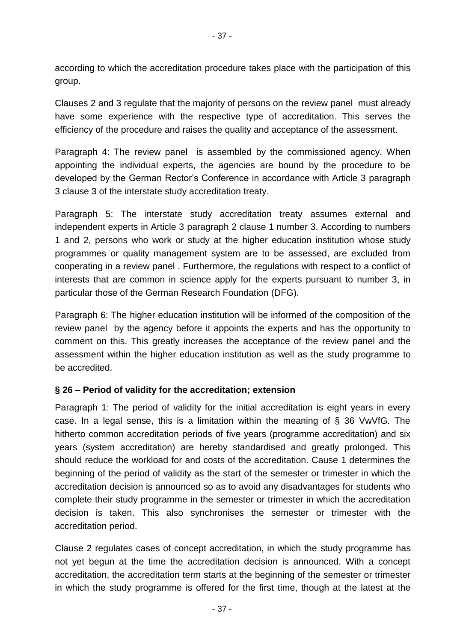according to which the accreditation procedure takes place with the participation of this group.

Clauses 2 and 3 regulate that the majority of persons on the review panel must already have some experience with the respective type of accreditation. This serves the efficiency of the procedure and raises the quality and acceptance of the assessment.

Paragraph 4: The review panel is assembled by the commissioned agency. When appointing the individual experts, the agencies are bound by the procedure to be developed by the German Rector's Conference in accordance with Article 3 paragraph 3 clause 3 of the interstate study accreditation treaty.

Paragraph 5: The interstate study accreditation treaty assumes external and independent experts in Article 3 paragraph 2 clause 1 number 3. According to numbers 1 and 2, persons who work or study at the higher education institution whose study programmes or quality management system are to be assessed, are excluded from cooperating in a review panel . Furthermore, the regulations with respect to a conflict of interests that are common in science apply for the experts pursuant to number 3, in particular those of the German Research Foundation (DFG).

Paragraph 6: The higher education institution will be informed of the composition of the review panel by the agency before it appoints the experts and has the opportunity to comment on this. This greatly increases the acceptance of the review panel and the assessment within the higher education institution as well as the study programme to be accredited.

### **§ 26 – Period of validity for the accreditation; extension**

Paragraph 1: The period of validity for the initial accreditation is eight years in every case. In a legal sense, this is a limitation within the meaning of § 36 VwVfG. The hitherto common accreditation periods of five years (programme accreditation) and six years (system accreditation) are hereby standardised and greatly prolonged. This should reduce the workload for and costs of the accreditation. Cause 1 determines the beginning of the period of validity as the start of the semester or trimester in which the accreditation decision is announced so as to avoid any disadvantages for students who complete their study programme in the semester or trimester in which the accreditation decision is taken. This also synchronises the semester or trimester with the accreditation period.

Clause 2 regulates cases of concept accreditation, in which the study programme has not yet begun at the time the accreditation decision is announced. With a concept accreditation, the accreditation term starts at the beginning of the semester or trimester in which the study programme is offered for the first time, though at the latest at the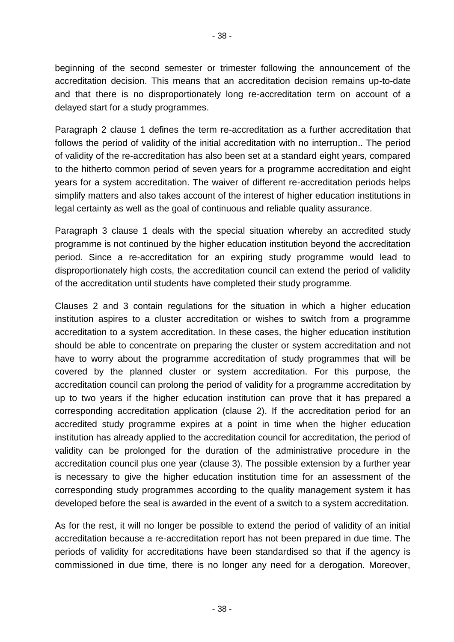beginning of the second semester or trimester following the announcement of the accreditation decision. This means that an accreditation decision remains up-to-date and that there is no disproportionately long re-accreditation term on account of a delayed start for a study programmes.

Paragraph 2 clause 1 defines the term re-accreditation as a further accreditation that follows the period of validity of the initial accreditation with no interruption.. The period of validity of the re-accreditation has also been set at a standard eight years, compared to the hitherto common period of seven years for a programme accreditation and eight years for a system accreditation. The waiver of different re-accreditation periods helps simplify matters and also takes account of the interest of higher education institutions in legal certainty as well as the goal of continuous and reliable quality assurance.

Paragraph 3 clause 1 deals with the special situation whereby an accredited study programme is not continued by the higher education institution beyond the accreditation period. Since a re-accreditation for an expiring study programme would lead to disproportionately high costs, the accreditation council can extend the period of validity of the accreditation until students have completed their study programme.

Clauses 2 and 3 contain regulations for the situation in which a higher education institution aspires to a cluster accreditation or wishes to switch from a programme accreditation to a system accreditation. In these cases, the higher education institution should be able to concentrate on preparing the cluster or system accreditation and not have to worry about the programme accreditation of study programmes that will be covered by the planned cluster or system accreditation. For this purpose, the accreditation council can prolong the period of validity for a programme accreditation by up to two years if the higher education institution can prove that it has prepared a corresponding accreditation application (clause 2). If the accreditation period for an accredited study programme expires at a point in time when the higher education institution has already applied to the accreditation council for accreditation, the period of validity can be prolonged for the duration of the administrative procedure in the accreditation council plus one year (clause 3). The possible extension by a further year is necessary to give the higher education institution time for an assessment of the corresponding study programmes according to the quality management system it has developed before the seal is awarded in the event of a switch to a system accreditation.

As for the rest, it will no longer be possible to extend the period of validity of an initial accreditation because a re-accreditation report has not been prepared in due time. The periods of validity for accreditations have been standardised so that if the agency is commissioned in due time, there is no longer any need for a derogation. Moreover,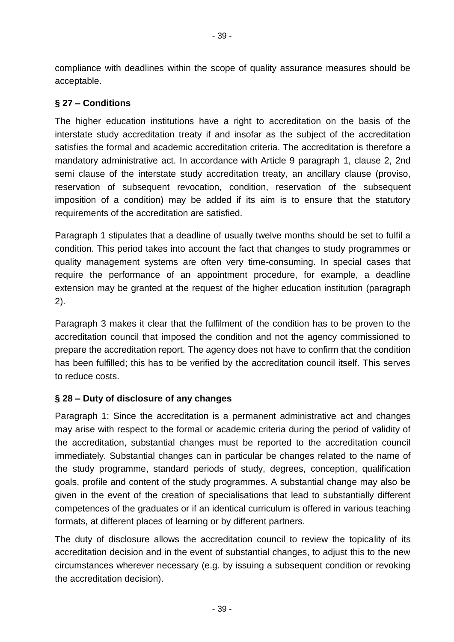compliance with deadlines within the scope of quality assurance measures should be acceptable.

### **§ 27 – Conditions**

The higher education institutions have a right to accreditation on the basis of the interstate study accreditation treaty if and insofar as the subject of the accreditation satisfies the formal and academic accreditation criteria. The accreditation is therefore a mandatory administrative act. In accordance with Article 9 paragraph 1, clause 2, 2nd semi clause of the interstate study accreditation treaty, an ancillary clause (proviso, reservation of subsequent revocation, condition, reservation of the subsequent imposition of a condition) may be added if its aim is to ensure that the statutory requirements of the accreditation are satisfied.

Paragraph 1 stipulates that a deadline of usually twelve months should be set to fulfil a condition. This period takes into account the fact that changes to study programmes or quality management systems are often very time-consuming. In special cases that require the performance of an appointment procedure, for example, a deadline extension may be granted at the request of the higher education institution (paragraph 2).

Paragraph 3 makes it clear that the fulfilment of the condition has to be proven to the accreditation council that imposed the condition and not the agency commissioned to prepare the accreditation report. The agency does not have to confirm that the condition has been fulfilled; this has to be verified by the accreditation council itself. This serves to reduce costs.

## **§ 28 – Duty of disclosure of any changes**

Paragraph 1: Since the accreditation is a permanent administrative act and changes may arise with respect to the formal or academic criteria during the period of validity of the accreditation, substantial changes must be reported to the accreditation council immediately. Substantial changes can in particular be changes related to the name of the study programme, standard periods of study, degrees, conception, qualification goals, profile and content of the study programmes. A substantial change may also be given in the event of the creation of specialisations that lead to substantially different competences of the graduates or if an identical curriculum is offered in various teaching formats, at different places of learning or by different partners.

The duty of disclosure allows the accreditation council to review the topicality of its accreditation decision and in the event of substantial changes, to adjust this to the new circumstances wherever necessary (e.g. by issuing a subsequent condition or revoking the accreditation decision).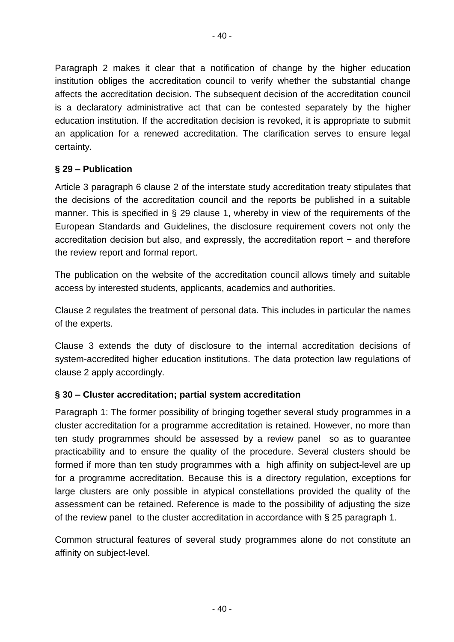Paragraph 2 makes it clear that a notification of change by the higher education institution obliges the accreditation council to verify whether the substantial change affects the accreditation decision. The subsequent decision of the accreditation council is a declaratory administrative act that can be contested separately by the higher education institution. If the accreditation decision is revoked, it is appropriate to submit an application for a renewed accreditation. The clarification serves to ensure legal certainty.

### **§ 29 – Publication**

Article 3 paragraph 6 clause 2 of the interstate study accreditation treaty stipulates that the decisions of the accreditation council and the reports be published in a suitable manner. This is specified in § 29 clause 1, whereby in view of the requirements of the European Standards and Guidelines, the disclosure requirement covers not only the accreditation decision but also, and expressly, the accreditation report − and therefore the review report and formal report.

The publication on the website of the accreditation council allows timely and suitable access by interested students, applicants, academics and authorities.

Clause 2 regulates the treatment of personal data. This includes in particular the names of the experts.

Clause 3 extends the duty of disclosure to the internal accreditation decisions of system-accredited higher education institutions. The data protection law regulations of clause 2 apply accordingly.

### **§ 30 – Cluster accreditation; partial system accreditation**

Paragraph 1: The former possibility of bringing together several study programmes in a cluster accreditation for a programme accreditation is retained. However, no more than ten study programmes should be assessed by a review panel so as to guarantee practicability and to ensure the quality of the procedure. Several clusters should be formed if more than ten study programmes with a high affinity on subject-level are up for a programme accreditation. Because this is a directory regulation, exceptions for large clusters are only possible in atypical constellations provided the quality of the assessment can be retained. Reference is made to the possibility of adjusting the size of the review panel to the cluster accreditation in accordance with § 25 paragraph 1.

Common structural features of several study programmes alone do not constitute an affinity on subject-level.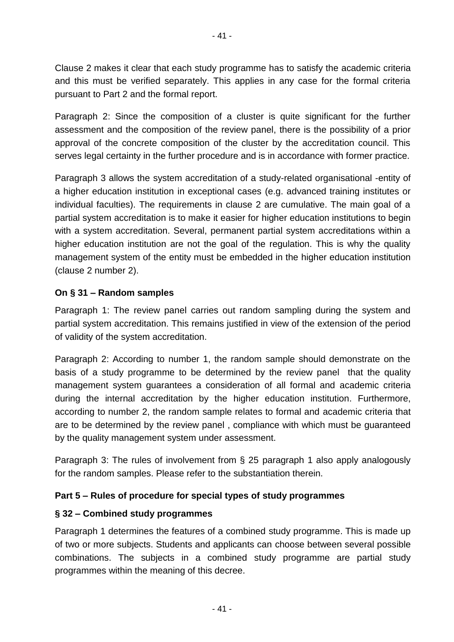Clause 2 makes it clear that each study programme has to satisfy the academic criteria and this must be verified separately. This applies in any case for the formal criteria pursuant to Part 2 and the formal report.

Paragraph 2: Since the composition of a cluster is quite significant for the further assessment and the composition of the review panel, there is the possibility of a prior approval of the concrete composition of the cluster by the accreditation council. This serves legal certainty in the further procedure and is in accordance with former practice.

Paragraph 3 allows the system accreditation of a study-related organisational -entity of a higher education institution in exceptional cases (e.g. advanced training institutes or individual faculties). The requirements in clause 2 are cumulative. The main goal of a partial system accreditation is to make it easier for higher education institutions to begin with a system accreditation. Several, permanent partial system accreditations within a higher education institution are not the goal of the regulation. This is why the quality management system of the entity must be embedded in the higher education institution (clause 2 number 2).

### **On § 31 – Random samples**

Paragraph 1: The review panel carries out random sampling during the system and partial system accreditation. This remains justified in view of the extension of the period of validity of the system accreditation.

Paragraph 2: According to number 1, the random sample should demonstrate on the basis of a study programme to be determined by the review panel that the quality management system guarantees a consideration of all formal and academic criteria during the internal accreditation by the higher education institution. Furthermore, according to number 2, the random sample relates to formal and academic criteria that are to be determined by the review panel , compliance with which must be guaranteed by the quality management system under assessment.

Paragraph 3: The rules of involvement from § 25 paragraph 1 also apply analogously for the random samples. Please refer to the substantiation therein.

### **Part 5 – Rules of procedure for special types of study programmes**

### **§ 32 – Combined study programmes**

Paragraph 1 determines the features of a combined study programme. This is made up of two or more subjects. Students and applicants can choose between several possible combinations. The subjects in a combined study programme are partial study programmes within the meaning of this decree.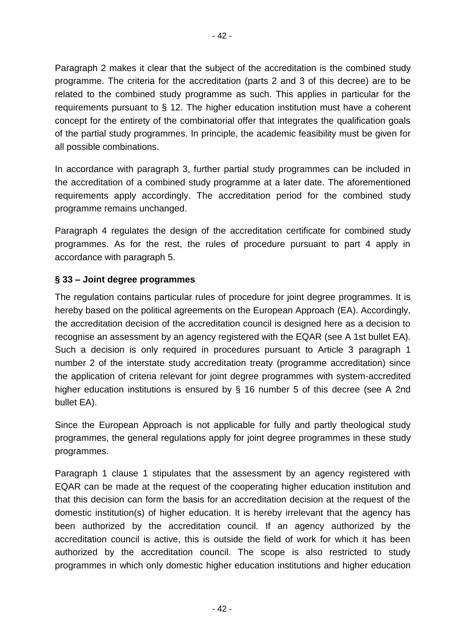Paragraph 2 makes it clear that the subject of the accreditation is the combined study programme. The criteria for the accreditation (parts 2 and 3 of this decree) are to be related to the combined study programme as such. This applies in particular for the requirements pursuant to § 12. The higher education institution must have a coherent

concept for the entirety of the combinatorial offer that integrates the qualification goals of the partial study programmes. In principle, the academic feasibility must be given for all possible combinations.

In accordance with paragraph 3, further partial study programmes can be included in the accreditation of a combined study programme at a later date. The aforementioned requirements apply accordingly. The accreditation period for the combined study programme remains unchanged.

Paragraph 4 regulates the design of the accreditation certificate for combined study programmes. As for the rest, the rules of procedure pursuant to part 4 apply in accordance with paragraph 5.

## **§ 33 – Joint degree programmes**

The regulation contains particular rules of procedure for joint degree programmes. It is hereby based on the political agreements on the European Approach (EA). Accordingly, the accreditation decision of the accreditation council is designed here as a decision to recognise an assessment by an agency registered with the EQAR (see A 1st bullet EA). Such a decision is only required in procedures pursuant to Article 3 paragraph 1 number 2 of the interstate study accreditation treaty (programme accreditation) since the application of criteria relevant for joint degree programmes with system-accredited higher education institutions is ensured by § 16 number 5 of this decree (see A 2nd bullet EA).

Since the European Approach is not applicable for fully and partly theological study programmes, the general regulations apply for joint degree programmes in these study programmes.

Paragraph 1 clause 1 stipulates that the assessment by an agency registered with EQAR can be made at the request of the cooperating higher education institution and that this decision can form the basis for an accreditation decision at the request of the domestic institution(s) of higher education. It is hereby irrelevant that the agency has been authorized by the accreditation council. If an agency authorized by the accreditation council is active, this is outside the field of work for which it has been authorized by the accreditation council. The scope is also restricted to study programmes in which only domestic higher education institutions and higher education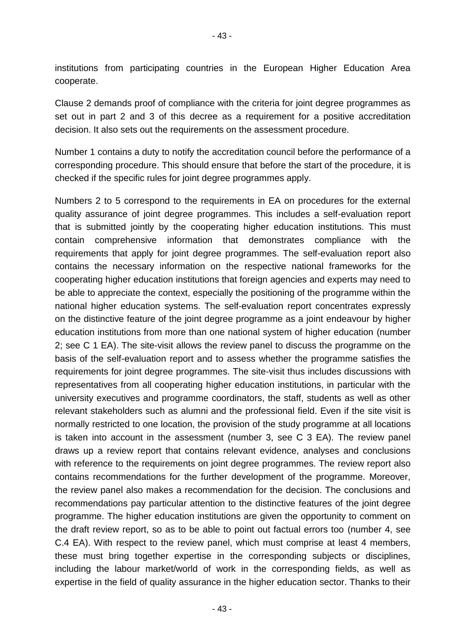- 43 -

institutions from participating countries in the European Higher Education Area cooperate.

Clause 2 demands proof of compliance with the criteria for joint degree programmes as set out in part 2 and 3 of this decree as a requirement for a positive accreditation decision. It also sets out the requirements on the assessment procedure.

Number 1 contains a duty to notify the accreditation council before the performance of a corresponding procedure. This should ensure that before the start of the procedure, it is checked if the specific rules for joint degree programmes apply.

Numbers 2 to 5 correspond to the requirements in EA on procedures for the external quality assurance of joint degree programmes. This includes a self-evaluation report that is submitted jointly by the cooperating higher education institutions. This must contain comprehensive information that demonstrates compliance with the requirements that apply for joint degree programmes. The self-evaluation report also contains the necessary information on the respective national frameworks for the cooperating higher education institutions that foreign agencies and experts may need to be able to appreciate the context, especially the positioning of the programme within the national higher education systems. The self-evaluation report concentrates expressly on the distinctive feature of the joint degree programme as a joint endeavour by higher education institutions from more than one national system of higher education (number 2; see C 1 EA). The site-visit allows the review panel to discuss the programme on the basis of the self-evaluation report and to assess whether the programme satisfies the requirements for joint degree programmes. The site-visit thus includes discussions with representatives from all cooperating higher education institutions, in particular with the university executives and programme coordinators, the staff, students as well as other relevant stakeholders such as alumni and the professional field. Even if the site visit is normally restricted to one location, the provision of the study programme at all locations is taken into account in the assessment (number 3, see C 3 EA). The review panel draws up a review report that contains relevant evidence, analyses and conclusions with reference to the requirements on joint degree programmes. The review report also contains recommendations for the further development of the programme. Moreover, the review panel also makes a recommendation for the decision. The conclusions and recommendations pay particular attention to the distinctive features of the joint degree programme. The higher education institutions are given the opportunity to comment on the draft review report, so as to be able to point out factual errors too (number 4, see C.4 EA). With respect to the review panel, which must comprise at least 4 members, these must bring together expertise in the corresponding subjects or disciplines, including the labour market/world of work in the corresponding fields, as well as expertise in the field of quality assurance in the higher education sector. Thanks to their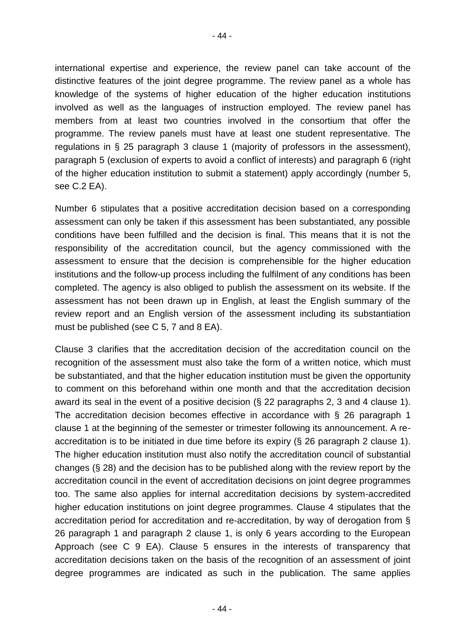international expertise and experience, the review panel can take account of the distinctive features of the joint degree programme. The review panel as a whole has knowledge of the systems of higher education of the higher education institutions involved as well as the languages of instruction employed. The review panel has members from at least two countries involved in the consortium that offer the programme. The review panels must have at least one student representative. The regulations in § 25 paragraph 3 clause 1 (majority of professors in the assessment), paragraph 5 (exclusion of experts to avoid a conflict of interests) and paragraph 6 (right of the higher education institution to submit a statement) apply accordingly (number 5, see C.2 EA).

Number 6 stipulates that a positive accreditation decision based on a corresponding assessment can only be taken if this assessment has been substantiated, any possible conditions have been fulfilled and the decision is final. This means that it is not the responsibility of the accreditation council, but the agency commissioned with the assessment to ensure that the decision is comprehensible for the higher education institutions and the follow-up process including the fulfilment of any conditions has been completed. The agency is also obliged to publish the assessment on its website. If the assessment has not been drawn up in English, at least the English summary of the review report and an English version of the assessment including its substantiation must be published (see C 5, 7 and 8 EA).

Clause 3 clarifies that the accreditation decision of the accreditation council on the recognition of the assessment must also take the form of a written notice, which must be substantiated, and that the higher education institution must be given the opportunity to comment on this beforehand within one month and that the accreditation decision award its seal in the event of a positive decision (§ 22 paragraphs 2, 3 and 4 clause 1). The accreditation decision becomes effective in accordance with § 26 paragraph 1 clause 1 at the beginning of the semester or trimester following its announcement. A reaccreditation is to be initiated in due time before its expiry (§ 26 paragraph 2 clause 1). The higher education institution must also notify the accreditation council of substantial changes (§ 28) and the decision has to be published along with the review report by the accreditation council in the event of accreditation decisions on joint degree programmes too. The same also applies for internal accreditation decisions by system-accredited higher education institutions on joint degree programmes. Clause 4 stipulates that the accreditation period for accreditation and re-accreditation, by way of derogation from § 26 paragraph 1 and paragraph 2 clause 1, is only 6 years according to the European Approach (see C 9 EA). Clause 5 ensures in the interests of transparency that accreditation decisions taken on the basis of the recognition of an assessment of joint degree programmes are indicated as such in the publication. The same applies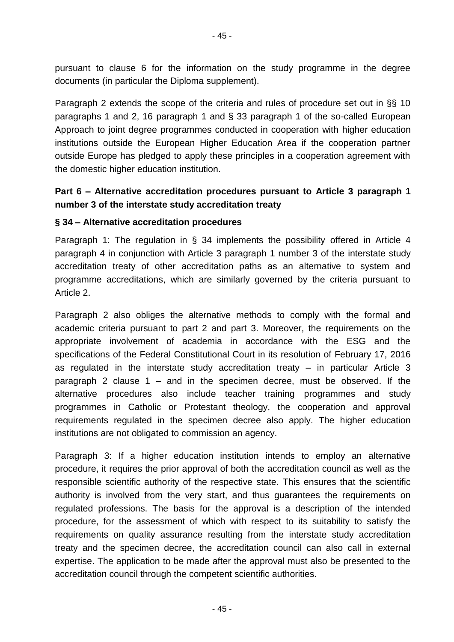pursuant to clause 6 for the information on the study programme in the degree documents (in particular the Diploma supplement).

Paragraph 2 extends the scope of the criteria and rules of procedure set out in §§ 10 paragraphs 1 and 2, 16 paragraph 1 and § 33 paragraph 1 of the so-called European Approach to joint degree programmes conducted in cooperation with higher education institutions outside the European Higher Education Area if the cooperation partner outside Europe has pledged to apply these principles in a cooperation agreement with the domestic higher education institution.

# **Part 6 – Alternative accreditation procedures pursuant to Article 3 paragraph 1 number 3 of the interstate study accreditation treaty**

#### **§ 34 – Alternative accreditation procedures**

Paragraph 1: The regulation in § 34 implements the possibility offered in Article 4 paragraph 4 in conjunction with Article 3 paragraph 1 number 3 of the interstate study accreditation treaty of other accreditation paths as an alternative to system and programme accreditations, which are similarly governed by the criteria pursuant to Article 2.

Paragraph 2 also obliges the alternative methods to comply with the formal and academic criteria pursuant to part 2 and part 3. Moreover, the requirements on the appropriate involvement of academia in accordance with the ESG and the specifications of the Federal Constitutional Court in its resolution of February 17, 2016 as regulated in the interstate study accreditation treaty – in particular Article 3 paragraph 2 clause 1 – and in the specimen decree, must be observed. If the alternative procedures also include teacher training programmes and study programmes in Catholic or Protestant theology, the cooperation and approval requirements regulated in the specimen decree also apply. The higher education institutions are not obligated to commission an agency.

Paragraph 3: If a higher education institution intends to employ an alternative procedure, it requires the prior approval of both the accreditation council as well as the responsible scientific authority of the respective state. This ensures that the scientific authority is involved from the very start, and thus guarantees the requirements on regulated professions. The basis for the approval is a description of the intended procedure, for the assessment of which with respect to its suitability to satisfy the requirements on quality assurance resulting from the interstate study accreditation treaty and the specimen decree, the accreditation council can also call in external expertise. The application to be made after the approval must also be presented to the accreditation council through the competent scientific authorities.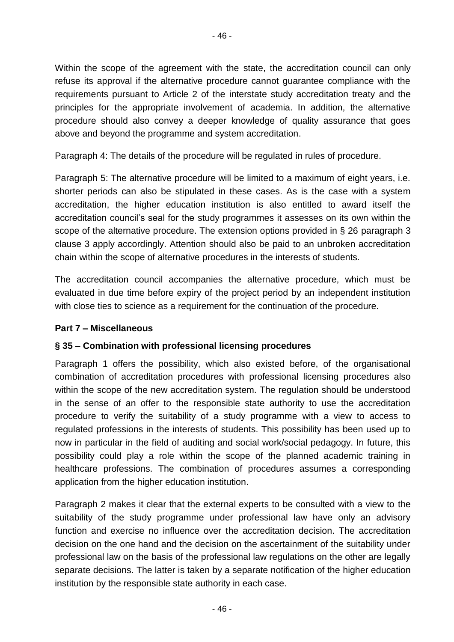Within the scope of the agreement with the state, the accreditation council can only refuse its approval if the alternative procedure cannot guarantee compliance with the requirements pursuant to Article 2 of the interstate study accreditation treaty and the principles for the appropriate involvement of academia. In addition, the alternative procedure should also convey a deeper knowledge of quality assurance that goes above and beyond the programme and system accreditation.

Paragraph 4: The details of the procedure will be regulated in rules of procedure.

Paragraph 5: The alternative procedure will be limited to a maximum of eight years, i.e. shorter periods can also be stipulated in these cases. As is the case with a system accreditation, the higher education institution is also entitled to award itself the accreditation council's seal for the study programmes it assesses on its own within the scope of the alternative procedure. The extension options provided in § 26 paragraph 3 clause 3 apply accordingly. Attention should also be paid to an unbroken accreditation chain within the scope of alternative procedures in the interests of students.

The accreditation council accompanies the alternative procedure, which must be evaluated in due time before expiry of the project period by an independent institution with close ties to science as a requirement for the continuation of the procedure.

## **Part 7 – Miscellaneous**

## **§ 35 – Combination with professional licensing procedures**

Paragraph 1 offers the possibility, which also existed before, of the organisational combination of accreditation procedures with professional licensing procedures also within the scope of the new accreditation system. The regulation should be understood in the sense of an offer to the responsible state authority to use the accreditation procedure to verify the suitability of a study programme with a view to access to regulated professions in the interests of students. This possibility has been used up to now in particular in the field of auditing and social work/social pedagogy. In future, this possibility could play a role within the scope of the planned academic training in healthcare professions. The combination of procedures assumes a corresponding application from the higher education institution.

Paragraph 2 makes it clear that the external experts to be consulted with a view to the suitability of the study programme under professional law have only an advisory function and exercise no influence over the accreditation decision. The accreditation decision on the one hand and the decision on the ascertainment of the suitability under professional law on the basis of the professional law regulations on the other are legally separate decisions. The latter is taken by a separate notification of the higher education institution by the responsible state authority in each case.